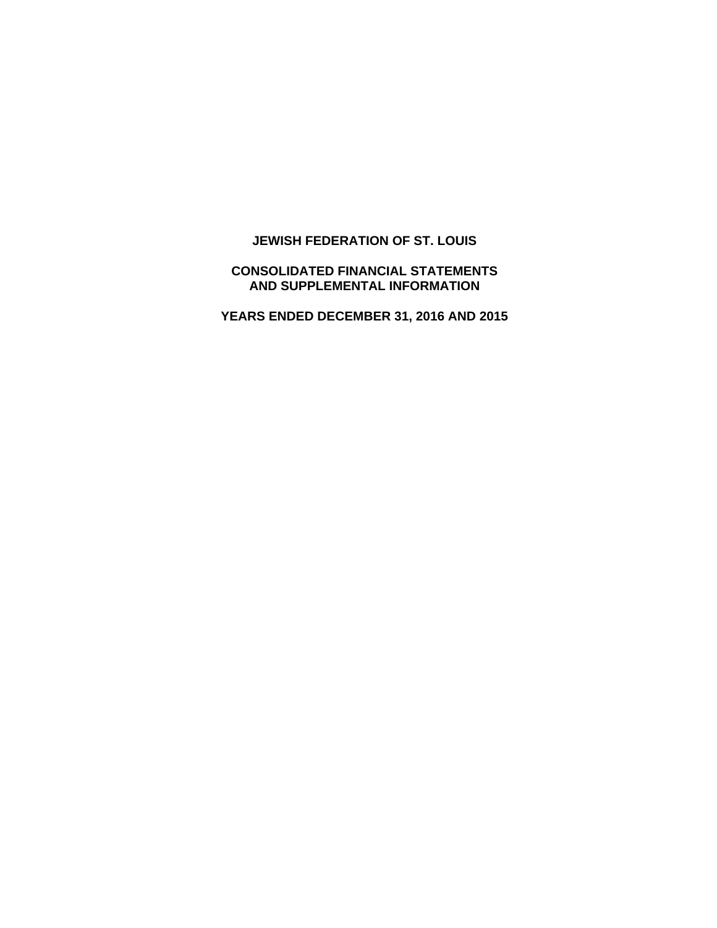## **JEWISH FEDERATION OF ST. LOUIS**

#### **CONSOLIDATED FINANCIAL STATEMENTS AND SUPPLEMENTAL INFORMATION**

**YEARS ENDED DECEMBER 31, 2016 AND 2015**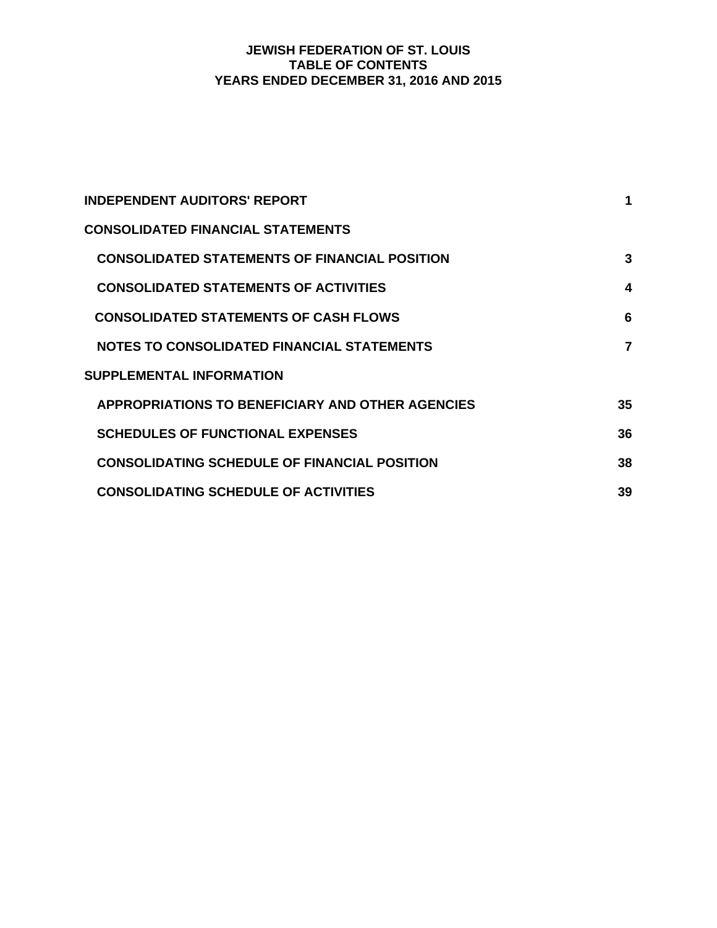### **JEWISH FEDERATION OF ST. LOUIS TABLE OF CONTENTS YEARS ENDED DECEMBER 31, 2016 AND 2015**

| <b>INDEPENDENT AUDITORS' REPORT</b>                     | 1              |
|---------------------------------------------------------|----------------|
| <b>CONSOLIDATED FINANCIAL STATEMENTS</b>                |                |
| <b>CONSOLIDATED STATEMENTS OF FINANCIAL POSITION</b>    | 3              |
| <b>CONSOLIDATED STATEMENTS OF ACTIVITIES</b>            | 4              |
| <b>CONSOLIDATED STATEMENTS OF CASH FLOWS</b>            | 6              |
| <b>NOTES TO CONSOLIDATED FINANCIAL STATEMENTS</b>       | $\overline{7}$ |
| <b>SUPPLEMENTAL INFORMATION</b>                         |                |
| <b>APPROPRIATIONS TO BENEFICIARY AND OTHER AGENCIES</b> | 35             |
| <b>SCHEDULES OF FUNCTIONAL EXPENSES</b>                 | 36             |
| <b>CONSOLIDATING SCHEDULE OF FINANCIAL POSITION</b>     | 38             |
| <b>CONSOLIDATING SCHEDULE OF ACTIVITIES</b>             | 39             |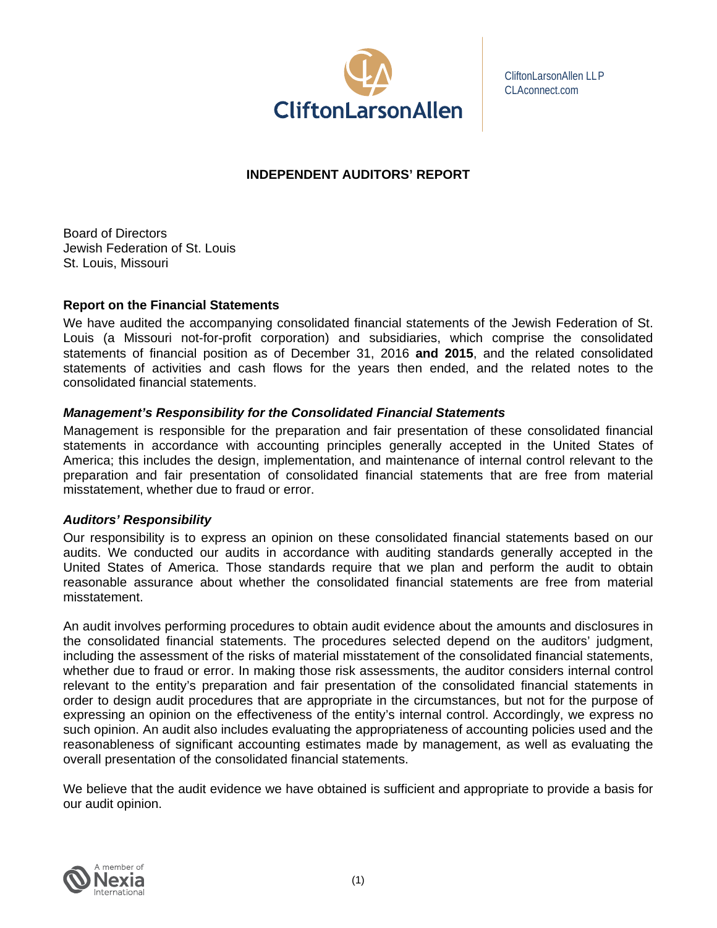

CliftonLarsonAllen LLP CLAconnect.com

## **INDEPENDENT AUDITORS' REPORT**

Board of Directors Jewish Federation of St. Louis St. Louis, Missouri

### **Report on the Financial Statements**

We have audited the accompanying consolidated financial statements of the Jewish Federation of St. Louis (a Missouri not-for-profit corporation) and subsidiaries, which comprise the consolidated statements of financial position as of December 31, 2016 **and 2015**, and the related consolidated statements of activities and cash flows for the years then ended, and the related notes to the consolidated financial statements.

### *Management's Responsibility for the Consolidated Financial Statements*

Management is responsible for the preparation and fair presentation of these consolidated financial statements in accordance with accounting principles generally accepted in the United States of America; this includes the design, implementation, and maintenance of internal control relevant to the preparation and fair presentation of consolidated financial statements that are free from material misstatement, whether due to fraud or error.

#### *Auditors' Responsibility*

Our responsibility is to express an opinion on these consolidated financial statements based on our audits. We conducted our audits in accordance with auditing standards generally accepted in the United States of America. Those standards require that we plan and perform the audit to obtain reasonable assurance about whether the consolidated financial statements are free from material misstatement.

An audit involves performing procedures to obtain audit evidence about the amounts and disclosures in the consolidated financial statements. The procedures selected depend on the auditors' judgment, including the assessment of the risks of material misstatement of the consolidated financial statements, whether due to fraud or error. In making those risk assessments, the auditor considers internal control relevant to the entity's preparation and fair presentation of the consolidated financial statements in order to design audit procedures that are appropriate in the circumstances, but not for the purpose of expressing an opinion on the effectiveness of the entity's internal control. Accordingly, we express no such opinion. An audit also includes evaluating the appropriateness of accounting policies used and the reasonableness of significant accounting estimates made by management, as well as evaluating the overall presentation of the consolidated financial statements.

We believe that the audit evidence we have obtained is sufficient and appropriate to provide a basis for our audit opinion.

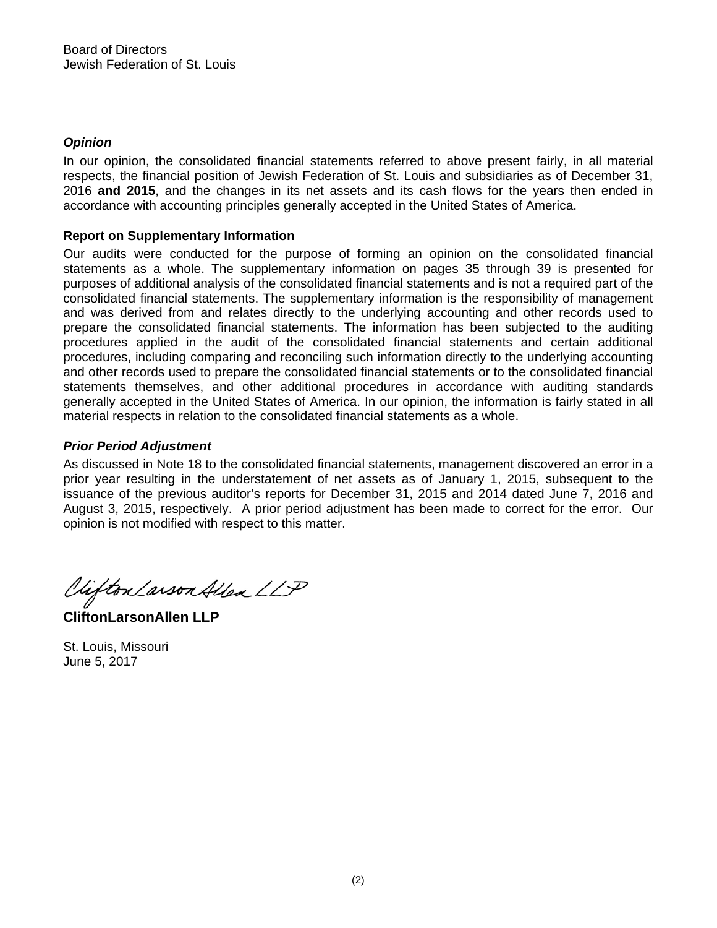### *Opinion*

In our opinion, the consolidated financial statements referred to above present fairly, in all material respects, the financial position of Jewish Federation of St. Louis and subsidiaries as of December 31, 2016 **and 2015**, and the changes in its net assets and its cash flows for the years then ended in accordance with accounting principles generally accepted in the United States of America.

### **Report on Supplementary Information**

Our audits were conducted for the purpose of forming an opinion on the consolidated financial statements as a whole. The supplementary information on pages 35 through 39 is presented for purposes of additional analysis of the consolidated financial statements and is not a required part of the consolidated financial statements. The supplementary information is the responsibility of management and was derived from and relates directly to the underlying accounting and other records used to prepare the consolidated financial statements. The information has been subjected to the auditing procedures applied in the audit of the consolidated financial statements and certain additional procedures, including comparing and reconciling such information directly to the underlying accounting and other records used to prepare the consolidated financial statements or to the consolidated financial statements themselves, and other additional procedures in accordance with auditing standards generally accepted in the United States of America. In our opinion, the information is fairly stated in all material respects in relation to the consolidated financial statements as a whole.

### *Prior Period Adjustment*

As discussed in Note 18 to the consolidated financial statements, management discovered an error in a prior year resulting in the understatement of net assets as of January 1, 2015, subsequent to the issuance of the previous auditor's reports for December 31, 2015 and 2014 dated June 7, 2016 and August 3, 2015, respectively. A prior period adjustment has been made to correct for the error. Our opinion is not modified with respect to this matter.

Clifton Larson Allen LLP

**CliftonLarsonAllen LLP** 

St. Louis, Missouri June 5, 2017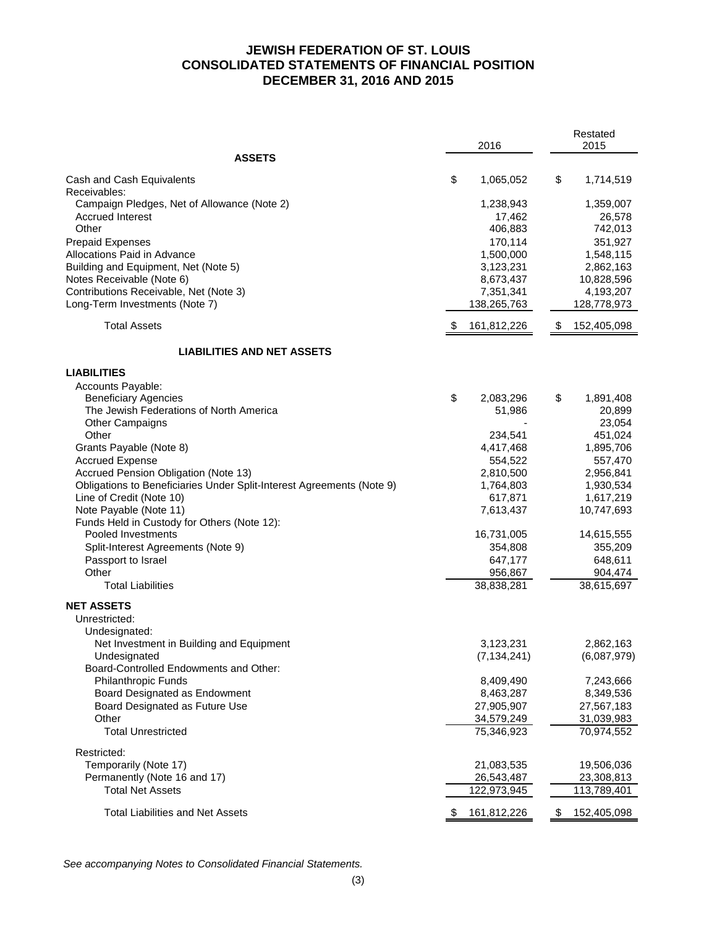## **JEWISH FEDERATION OF ST. LOUIS CONSOLIDATED STATEMENTS OF FINANCIAL POSITION DECEMBER 31, 2016 AND 2015**

|                                                                       |    | 2016                   | Restated<br>2015        |
|-----------------------------------------------------------------------|----|------------------------|-------------------------|
| <b>ASSETS</b>                                                         |    |                        |                         |
| Cash and Cash Equivalents                                             | \$ | 1,065,052              | \$<br>1,714,519         |
| Receivables:                                                          |    |                        |                         |
| Campaign Pledges, Net of Allowance (Note 2)                           |    | 1,238,943              | 1,359,007               |
| <b>Accrued Interest</b><br>Other                                      |    | 17,462                 | 26,578                  |
|                                                                       |    | 406,883                | 742,013                 |
| <b>Prepaid Expenses</b><br>Allocations Paid in Advance                |    | 170,114<br>1,500,000   | 351,927<br>1,548,115    |
| Building and Equipment, Net (Note 5)                                  |    | 3,123,231              | 2,862,163               |
| Notes Receivable (Note 6)                                             |    | 8,673,437              | 10,828,596              |
| Contributions Receivable, Net (Note 3)                                |    | 7,351,341              | 4,193,207               |
| Long-Term Investments (Note 7)                                        |    | 138,265,763            | 128,778,973             |
| <b>Total Assets</b>                                                   | \$ | 161,812,226            | \$<br>152,405,098       |
| <b>LIABILITIES AND NET ASSETS</b>                                     |    |                        |                         |
| <b>LIABILITIES</b>                                                    |    |                        |                         |
| Accounts Payable:                                                     |    |                        |                         |
| <b>Beneficiary Agencies</b>                                           | \$ | 2,083,296              | \$<br>1,891,408         |
| The Jewish Federations of North America                               |    | 51,986                 | 20,899                  |
| Other Campaigns                                                       |    |                        | 23,054                  |
| Other                                                                 |    | 234,541                | 451,024                 |
| Grants Payable (Note 8)                                               |    | 4,417,468              | 1,895,706               |
| <b>Accrued Expense</b>                                                |    | 554,522                | 557,470                 |
| Accrued Pension Obligation (Note 13)                                  |    | 2,810,500              | 2,956,841               |
| Obligations to Beneficiaries Under Split-Interest Agreements (Note 9) |    | 1,764,803              | 1,930,534               |
| Line of Credit (Note 10)<br>Note Payable (Note 11)                    |    | 617,871<br>7,613,437   | 1,617,219<br>10,747,693 |
| Funds Held in Custody for Others (Note 12):                           |    |                        |                         |
| Pooled Investments                                                    |    | 16,731,005             | 14,615,555              |
| Split-Interest Agreements (Note 9)                                    |    | 354,808                | 355,209                 |
| Passport to Israel                                                    |    | 647,177                | 648,611                 |
| Other                                                                 |    | 956,867                | 904,474                 |
| <b>Total Liabilities</b>                                              |    | 38,838,281             | 38,615,697              |
| <b>NET ASSETS</b>                                                     |    |                        |                         |
| Unrestricted:                                                         |    |                        |                         |
| Undesignated:                                                         |    |                        |                         |
| Net Investment in Building and Equipment                              |    | 3,123,231              | 2,862,163               |
| Undesignated                                                          |    | (7, 134, 241)          | (6,087,979)             |
| Board-Controlled Endowments and Other:                                |    |                        |                         |
| Philanthropic Funds<br>Board Designated as Endowment                  |    | 8,409,490<br>8,463,287 | 7,243,666<br>8,349,536  |
| Board Designated as Future Use                                        |    | 27,905,907             | 27,567,183              |
| Other                                                                 |    | 34,579,249             | 31,039,983              |
| <b>Total Unrestricted</b>                                             |    | 75,346,923             | 70,974,552              |
| Restricted:                                                           |    |                        |                         |
| Temporarily (Note 17)                                                 |    | 21,083,535             | 19,506,036              |
| Permanently (Note 16 and 17)                                          |    | 26,543,487             | 23,308,813              |
| <b>Total Net Assets</b>                                               |    | 122,973,945            | 113,789,401             |
| <b>Total Liabilities and Net Assets</b>                               | \$ | 161,812,226            | \$<br>152,405,098       |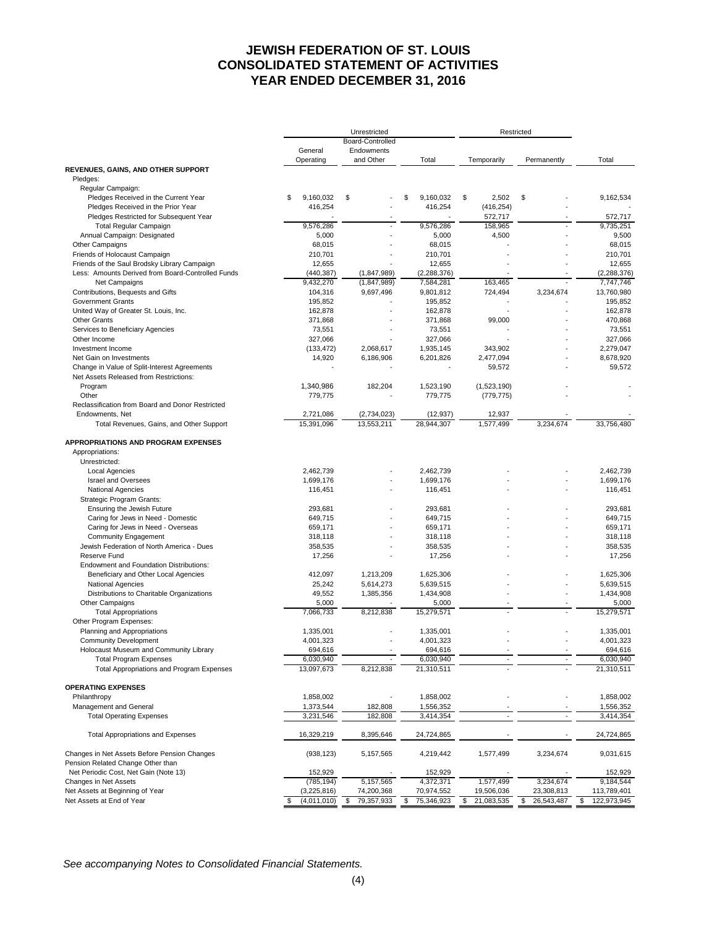### **JEWISH FEDERATION OF ST. LOUIS CONSOLIDATED STATEMENT OF ACTIVITIES YEAR ENDED DECEMBER 31, 2016**

|                                                       |                   | Unrestricted     |                  | Restricted               |                  |                   |  |
|-------------------------------------------------------|-------------------|------------------|------------------|--------------------------|------------------|-------------------|--|
|                                                       |                   | Board-Controlled |                  |                          |                  |                   |  |
|                                                       | General           | Endowments       |                  |                          |                  |                   |  |
|                                                       | Operating         | and Other        | Total            | Temporarily              | Permanently      | Total             |  |
| <b>REVENUES, GAINS, AND OTHER SUPPORT</b><br>Pledges: |                   |                  |                  |                          |                  |                   |  |
|                                                       |                   |                  |                  |                          |                  |                   |  |
| Regular Campaign:                                     |                   |                  |                  |                          |                  |                   |  |
| Pledges Received in the Current Year                  | 9,160,032<br>\$   | \$               | S<br>9,160,032   | 2,502<br>\$              | \$               | 9,162,534         |  |
| Pledges Received in the Prior Year                    | 416,254           |                  | 416,254          | (416, 254)               |                  |                   |  |
| Pledges Restricted for Subsequent Year                |                   |                  |                  | 572,717                  |                  | 572,717           |  |
| <b>Total Regular Campaign</b>                         | 9,576,286         |                  | 9,576,286        | 158,965                  |                  | 9,735,251         |  |
| Annual Campaign: Designated                           | 5,000             |                  | 5,000            | 4,500                    | ä,               | 9,500             |  |
| Other Campaigns                                       | 68,015            |                  | 68,015           |                          |                  | 68.015            |  |
| Friends of Holocaust Campaign                         | 210,701           |                  | 210,701          |                          |                  | 210,701           |  |
| Friends of the Saul Brodsky Library Campaign          | 12,655            |                  | 12,655           |                          |                  | 12,655            |  |
| Less: Amounts Derived from Board-Controlled Funds     | (440, 387)        | (1, 847, 989)    | (2, 288, 376)    | $\overline{\phantom{a}}$ |                  | (2, 288, 376)     |  |
|                                                       |                   |                  |                  |                          |                  |                   |  |
| Net Campaigns                                         | 9,432,270         | (1,847,989)      | 7,584,281        | 163,465                  |                  | 7,747,746         |  |
| Contributions, Bequests and Gifts                     | 104,316           | 9,697,496        | 9,801,812        | 724,494                  | 3,234,674        | 13,760,980        |  |
| <b>Government Grants</b>                              | 195,852           |                  | 195,852          |                          |                  | 195,852           |  |
| United Way of Greater St. Louis, Inc.                 | 162,878           |                  | 162,878          |                          |                  | 162,878           |  |
| <b>Other Grants</b>                                   | 371,868           |                  | 371,868          | 99,000                   |                  | 470,868           |  |
| Services to Beneficiary Agencies                      | 73,551            |                  | 73,551           |                          |                  | 73,551            |  |
| Other Income                                          | 327,066           |                  | 327,066          |                          |                  | 327,066           |  |
| Investment Income                                     |                   |                  |                  | 343,902                  |                  | 2,279,047         |  |
|                                                       | (133, 472)        | 2,068,617        | 1,935,145        |                          |                  |                   |  |
| Net Gain on Investments                               | 14,920            | 6,186,906        | 6,201,826        | 2,477,094                |                  | 8,678,920         |  |
| Change in Value of Split-Interest Agreements          |                   |                  |                  | 59,572                   |                  | 59,572            |  |
| Net Assets Released from Restrictions:                |                   |                  |                  |                          |                  |                   |  |
| Program                                               | 1,340,986         | 182,204          | 1,523,190        | (1,523,190)              |                  |                   |  |
| Other                                                 | 779.775           |                  | 779,775          | (779, 775)               |                  |                   |  |
| Reclassification from Board and Donor Restricted      |                   |                  |                  |                          |                  |                   |  |
| Endowments, Net                                       |                   |                  |                  |                          |                  |                   |  |
|                                                       | 2,721,086         | (2,734,023)      | (12, 937)        | 12,937                   |                  |                   |  |
| Total Revenues, Gains, and Other Support              | 15.391.096        | 13,553,211       | 28,944,307       | 1,577,499                | 3,234,674        | 33,756,480        |  |
|                                                       |                   |                  |                  |                          |                  |                   |  |
| <b>APPROPRIATIONS AND PROGRAM EXPENSES</b>            |                   |                  |                  |                          |                  |                   |  |
| Appropriations:                                       |                   |                  |                  |                          |                  |                   |  |
| Unrestricted:                                         |                   |                  |                  |                          |                  |                   |  |
| Local Agencies                                        | 2,462,739         |                  | 2,462,739        |                          |                  | 2,462,739         |  |
| <b>Israel and Oversees</b>                            | 1,699,176         |                  | 1,699,176        |                          |                  | 1,699,176         |  |
|                                                       |                   |                  |                  |                          |                  |                   |  |
| National Agencies                                     | 116,451           |                  | 116,451          |                          |                  | 116,451           |  |
| Strategic Program Grants:                             |                   |                  |                  |                          |                  |                   |  |
| Ensuring the Jewish Future                            | 293,681           |                  | 293,681          |                          |                  | 293,681           |  |
| Caring for Jews in Need - Domestic                    | 649,715           | ÷.               | 649,715          |                          | L,               | 649,715           |  |
| Caring for Jews in Need - Overseas                    | 659,171           |                  | 659,171          |                          |                  | 659,171           |  |
| <b>Community Engagement</b>                           | 318,118           |                  | 318,118          |                          |                  | 318,118           |  |
| Jewish Federation of North America - Dues             | 358,535           | ä,               | 358,535          |                          |                  | 358,535           |  |
|                                                       |                   |                  |                  |                          |                  |                   |  |
| Reserve Fund                                          | 17,256            |                  | 17,256           |                          |                  | 17,256            |  |
| <b>Endowment and Foundation Distributions:</b>        |                   |                  |                  |                          |                  |                   |  |
| Beneficiary and Other Local Agencies                  | 412,097           | 1,213,209        | 1,625,306        |                          |                  | 1,625,306         |  |
| <b>National Agencies</b>                              | 25,242            | 5,614,273        | 5,639,515        |                          |                  | 5,639,515         |  |
| Distributions to Charitable Organizations             | 49,552            | 1,385,356        | 1,434,908        |                          |                  | 1,434,908         |  |
| Other Campaigns                                       | 5,000             |                  | 5,000            |                          |                  | 5,000             |  |
| <b>Total Appropriations</b>                           | 7,066,733         | 8,212,838        | 15,279,571       |                          |                  | 15,279,571        |  |
|                                                       |                   |                  |                  |                          |                  |                   |  |
| Other Program Expenses:                               |                   |                  |                  |                          |                  |                   |  |
| Planning and Appropriations                           | 1,335,001         |                  | 1,335,001        |                          |                  | 1,335,001         |  |
| <b>Community Development</b>                          | 4,001,323         |                  | 4,001,323        |                          |                  | 4,001,323         |  |
| Holocaust Museum and Community Library                | 694,616           | $\blacksquare$   | 694,616          | $\overline{\phantom{a}}$ |                  | 694,616           |  |
| <b>Total Program Expenses</b>                         | 6,030,940         |                  | 6,030,940        |                          |                  | 6,030,940         |  |
| Total Appropriations and Program Expenses             | 13,097,673        | 8,212,838        | 21,310,511       |                          |                  | 21,310,511        |  |
|                                                       |                   |                  |                  |                          |                  |                   |  |
|                                                       |                   |                  |                  |                          |                  |                   |  |
| <b>OPERATING EXPENSES</b>                             |                   |                  |                  |                          |                  |                   |  |
| Philanthropy                                          | 1,858,002         |                  | 1,858,002        |                          |                  | 1,858,002         |  |
| Management and General                                | 1,373,544         | 182,808          | 1,556,352        |                          |                  | 1,556,352         |  |
| <b>Total Operating Expenses</b>                       | 3,231,546         | 182,808          | 3,414,354        |                          | ÷,               | 3,414,354         |  |
|                                                       |                   |                  |                  |                          |                  |                   |  |
| <b>Total Appropriations and Expenses</b>              | 16,329,219        | 8,395,646        |                  |                          |                  | 24,724,865        |  |
|                                                       |                   |                  | 24,724,865       |                          |                  |                   |  |
|                                                       |                   |                  |                  |                          |                  |                   |  |
| Changes in Net Assets Before Pension Changes          | (938, 123)        | 5,157,565        | 4,219,442        | 1,577,499                | 3,234,674        | 9,031,615         |  |
| Pension Related Change Other than                     |                   |                  |                  |                          |                  |                   |  |
| Net Periodic Cost, Net Gain (Note 13)                 | 152,929           |                  | 152,929          |                          |                  | 152,929           |  |
| Changes in Net Assets                                 | (785, 194)        | 5,157,565        | 4,372,371        | 1,577,499                | 3,234,674        | 9,184,544         |  |
| Net Assets at Beginning of Year                       | (3,225,816)       | 74,200,368       | 70,974,552       | 19,506,036               | 23,308,813       | 113,789,401       |  |
| Net Assets at End of Year                             | (4,011,010)<br>\$ | 79,357,933<br>\$ | 75,346,923<br>\$ | 21,083,535<br>\$         | 26,543,487<br>\$ | 122,973,945<br>\$ |  |
|                                                       |                   |                  |                  |                          |                  |                   |  |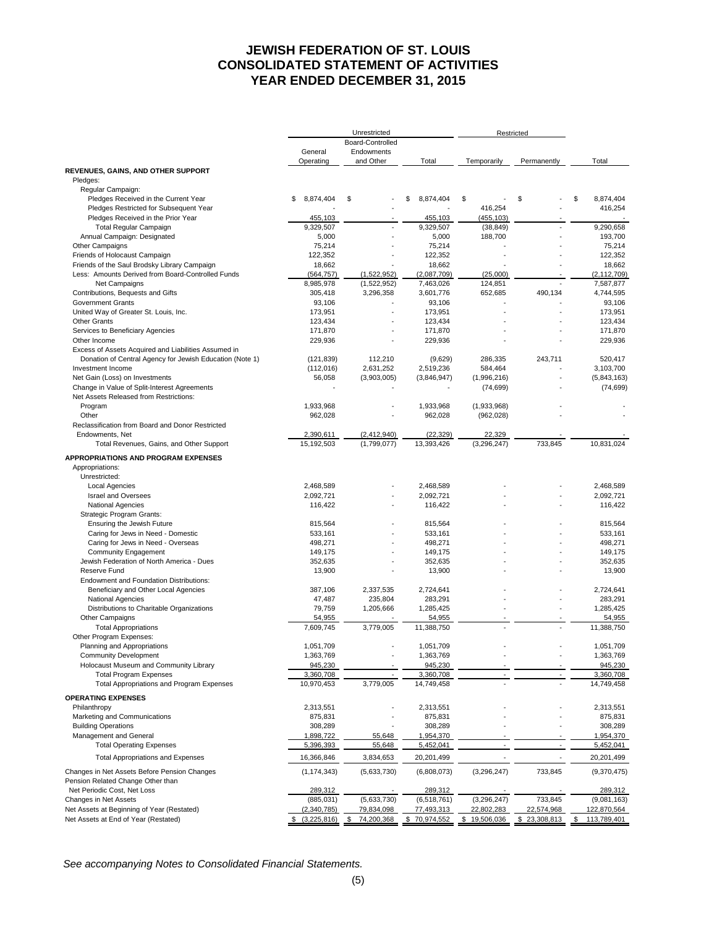### **JEWISH FEDERATION OF ST. LOUIS CONSOLIDATED STATEMENT OF ACTIVITIES YEAR ENDED DECEMBER 31, 2015**

|                                                          |                  | Unrestricted     |                | Restricted     |                |                   |
|----------------------------------------------------------|------------------|------------------|----------------|----------------|----------------|-------------------|
|                                                          | Board-Controlled |                  |                |                |                |                   |
|                                                          | General          | Endowments       |                |                |                |                   |
|                                                          | Operating        | and Other        | Total          | Temporarily    | Permanently    | Total             |
| <b>REVENUES, GAINS, AND OTHER SUPPORT</b>                |                  |                  |                |                |                |                   |
| Pledges:                                                 |                  |                  |                |                |                |                   |
| Regular Campaign:                                        |                  |                  |                |                |                |                   |
|                                                          |                  |                  |                |                |                |                   |
| Pledges Received in the Current Year                     | 8,874,404<br>\$  | \$               | S<br>8,874,404 | \$             | \$             | \$<br>8,874,404   |
| Pledges Restricted for Subsequent Year                   |                  |                  |                | 416,254        |                | 416,254           |
| Pledges Received in the Prior Year                       | 455,103          |                  | 455,103        | (455, 103)     |                |                   |
| Total Regular Campaign                                   | 9,329,507        |                  | 9,329,507      | (38, 849)      |                | 9,290,658         |
| Annual Campaign: Designated                              | 5,000            |                  | 5,000          | 188,700        |                | 193,700           |
| Other Campaigns                                          | 75,214           |                  | 75,214         |                |                | 75,214            |
| Friends of Holocaust Campaign                            | 122,352          |                  | 122,352        |                |                | 122,352           |
|                                                          |                  |                  |                |                |                |                   |
| Friends of the Saul Brodsky Library Campaign             | 18,662           |                  | 18,662         |                |                | 18,662            |
| Less: Amounts Derived from Board-Controlled Funds        | (564, 757)       | (1,522,952)      | (2,087,709)    | (25,000)       |                | (2, 112, 709)     |
| Net Campaigns                                            | 8,985,978        | (1,522,952)      | 7,463,026      | 124,851        |                | 7,587,877         |
| Contributions, Bequests and Gifts                        | 305,418          | 3,296,358        | 3,601,776      | 652,685        | 490,134        | 4,744,595         |
| <b>Government Grants</b>                                 | 93,106           |                  | 93,106         |                |                | 93,106            |
| United Way of Greater St. Louis, Inc.                    | 173,951          |                  | 173,951        |                |                | 173,951           |
| <b>Other Grants</b>                                      |                  |                  |                |                |                | 123,434           |
|                                                          | 123,434          |                  | 123,434        |                |                |                   |
| Services to Beneficiary Agencies                         | 171,870          |                  | 171,870        |                |                | 171,870           |
| Other Income                                             | 229,936          |                  | 229,936        |                |                | 229,936           |
| Excess of Assets Acquired and Liabilities Assumed in     |                  |                  |                |                |                |                   |
| Donation of Central Agency for Jewish Education (Note 1) | (121, 839)       | 112,210          | (9,629)        | 286,335        | 243,711        | 520,417           |
| Investment Income                                        | (112, 016)       | 2,631,252        | 2,519,236      | 584,464        |                | 3,103,700         |
| Net Gain (Loss) on Investments                           | 56,058           |                  |                | (1,996,216)    |                | (5,843,163)       |
|                                                          |                  | (3,903,005)      | (3,846,947)    |                |                |                   |
| Change in Value of Split-Interest Agreements             |                  |                  |                | (74, 699)      |                | (74, 699)         |
| Net Assets Released from Restrictions:                   |                  |                  |                |                |                |                   |
| Program                                                  | 1,933,968        |                  | 1,933,968      | (1,933,968)    |                |                   |
| Other                                                    | 962,028          |                  | 962,028        | (962, 028)     |                |                   |
| Reclassification from Board and Donor Restricted         |                  |                  |                |                |                |                   |
| Endowments, Net                                          | 2,390,611        | (2, 412, 940)    | (22, 329)      | 22,329         |                |                   |
|                                                          |                  | (1,799,077)      |                |                |                |                   |
| Total Revenues, Gains, and Other Support                 | 15,192,503       |                  | 13,393,426     | (3, 296, 247)  | 733,845        | 10,831,024        |
| <b>APPROPRIATIONS AND PROGRAM EXPENSES</b>               |                  |                  |                |                |                |                   |
| Appropriations:                                          |                  |                  |                |                |                |                   |
|                                                          |                  |                  |                |                |                |                   |
| Unrestricted:                                            |                  |                  |                |                |                |                   |
| Local Agencies                                           | 2,468,589        |                  | 2,468,589      |                |                | 2,468,589         |
| <b>Israel and Oversees</b>                               | 2,092,721        |                  | 2,092,721      |                |                | 2,092,721         |
| National Agencies                                        | 116,422          |                  | 116,422        |                |                | 116,422           |
| Strategic Program Grants:                                |                  |                  |                |                |                |                   |
| Ensuring the Jewish Future                               | 815,564          |                  | 815,564        |                |                | 815,564           |
|                                                          |                  |                  |                |                |                |                   |
| Caring for Jews in Need - Domestic                       | 533,161          |                  | 533,161        |                |                | 533,161           |
| Caring for Jews in Need - Overseas                       | 498,271          |                  | 498,271        |                |                | 498,271           |
| <b>Community Engagement</b>                              | 149,175          |                  | 149,175        |                |                | 149,175           |
| Jewish Federation of North America - Dues                | 352,635          |                  | 352,635        |                |                | 352,635           |
| Reserve Fund                                             | 13,900           |                  | 13,900         |                |                | 13,900            |
| <b>Endowment and Foundation Distributions:</b>           |                  |                  |                |                |                |                   |
|                                                          |                  |                  |                |                |                |                   |
| Beneficiary and Other Local Agencies                     | 387,106          | 2,337,535        | 2,724,641      |                |                | 2,724,641         |
| National Agencies                                        | 47,487           | 235,804          | 283,291        |                |                | 283,291           |
| Distributions to Charitable Organizations                | 79,759           | 1,205,666        | 1,285,425      |                |                | 1,285,425         |
| Other Campaigns                                          | 54,955           |                  | 54.955         |                |                | 54,955            |
| <b>Total Appropriations</b>                              | 7,609,745        | 3,779,005        | 11,388,750     |                |                | 11,388,750        |
| Other Program Expenses:                                  |                  |                  |                |                |                |                   |
|                                                          | 1,051,709        |                  | 1,051,709      |                |                | 1,051,709         |
| Planning and Appropriations                              |                  |                  |                |                |                |                   |
| <b>Community Development</b>                             | 1,363,769        |                  | 1,363,769      |                |                | 1,363,769         |
| Holocaust Museum and Community Library                   | 945,230          |                  | 945,230        |                |                | 945,230           |
| <b>Total Program Expenses</b>                            | 3,360,708        |                  | 3,360,708      |                |                | 3,360,708         |
| <b>Total Appropriations and Program Expenses</b>         | 10,970,453       | 3,779,005        | 14,749,458     |                |                | 14,749,458        |
|                                                          |                  |                  |                |                |                |                   |
| <b>OPERATING EXPENSES</b>                                |                  |                  |                |                |                |                   |
| Philanthropy                                             | 2,313,551        |                  | 2,313,551      |                |                | 2,313,551         |
| Marketing and Communications                             | 875,831          |                  | 875,831        |                |                | 875,831           |
| <b>Building Operations</b>                               | 308,289          |                  | 308,289        |                |                | 308,289           |
|                                                          |                  |                  |                |                |                |                   |
| Management and General                                   | 1,898,722        | 55,648           | 1,954,370      |                |                | 1,954,370         |
| <b>Total Operating Expenses</b>                          | 5,396,393        | 55,648           | 5,452,041      | $\blacksquare$ | ÷,             | 5,452,041         |
| <b>Total Appropriations and Expenses</b>                 | 16,366,846       | 3,834,653        | 20,201,499     |                | $\blacksquare$ | 20,201,499        |
|                                                          |                  |                  |                |                |                |                   |
| Changes in Net Assets Before Pension Changes             | (1, 174, 343)    | (5,633,730)      | (6,808,073)    | (3, 296, 247)  | 733,845        | (9,370,475)       |
| Pension Related Change Other than                        |                  |                  |                |                |                |                   |
| Net Periodic Cost, Net Loss                              | 289,312          |                  | 289,312        |                |                | 289,312           |
|                                                          |                  | (5,633,730)      |                |                | 733,845        |                   |
| Changes in Net Assets                                    | (885, 031)       |                  | (6,518,761)    | (3, 296, 247)  |                | (9,081,163)       |
| Net Assets at Beginning of Year (Restated)               | (2,340,785)      | 79,834,098       | 77,493,313     | 22,802,283     | 22,574,968     | 122,870,564       |
| Net Assets at End of Year (Restated)                     | \$ (3,225,816)   | \$<br>74,200,368 | \$70,974,552   | \$19,506,036   | \$23,308,813   | \$<br>113,789,401 |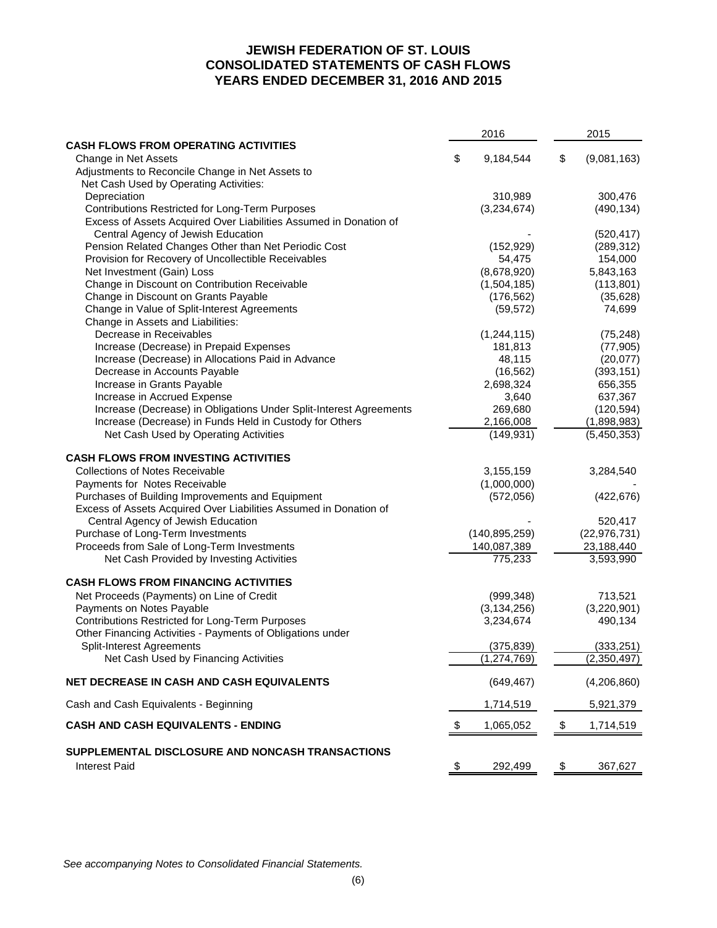## **JEWISH FEDERATION OF ST. LOUIS CONSOLIDATED STATEMENTS OF CASH FLOWS YEARS ENDED DECEMBER 31, 2016 AND 2015**

|                                                                          | 2016            | 2015              |
|--------------------------------------------------------------------------|-----------------|-------------------|
| <b>CASH FLOWS FROM OPERATING ACTIVITIES</b>                              |                 |                   |
| Change in Net Assets                                                     | \$<br>9,184,544 | \$<br>(9,081,163) |
| Adjustments to Reconcile Change in Net Assets to                         |                 |                   |
| Net Cash Used by Operating Activities:                                   |                 |                   |
| Depreciation                                                             | 310,989         | 300,476           |
| Contributions Restricted for Long-Term Purposes                          | (3, 234, 674)   | (490, 134)        |
| Excess of Assets Acquired Over Liabilities Assumed in Donation of        |                 |                   |
| Central Agency of Jewish Education                                       |                 | (520, 417)        |
| Pension Related Changes Other than Net Periodic Cost                     | (152, 929)      | (289, 312)        |
| Provision for Recovery of Uncollectible Receivables                      | 54,475          | 154,000           |
| Net Investment (Gain) Loss                                               | (8,678,920)     | 5,843,163         |
| Change in Discount on Contribution Receivable                            | (1,504,185)     | (113, 801)        |
| Change in Discount on Grants Payable                                     | (176, 562)      | (35, 628)         |
| Change in Value of Split-Interest Agreements                             | (59, 572)       | 74,699            |
| Change in Assets and Liabilities:                                        |                 |                   |
| Decrease in Receivables                                                  | (1, 244, 115)   | (75, 248)         |
| Increase (Decrease) in Prepaid Expenses                                  | 181,813         | (77, 905)         |
| Increase (Decrease) in Allocations Paid in Advance                       | 48,115          | (20, 077)         |
| Decrease in Accounts Payable                                             | (16, 562)       | (393, 151)        |
| Increase in Grants Payable                                               | 2,698,324       | 656,355           |
| Increase in Accrued Expense                                              | 3,640           | 637,367           |
| Increase (Decrease) in Obligations Under Split-Interest Agreements       | 269,680         | (120, 594)        |
| Increase (Decrease) in Funds Held in Custody for Others                  | 2,166,008       | (1,898,983)       |
| Net Cash Used by Operating Activities                                    | (149, 931)      | (5,450,353)       |
| <b>CASH FLOWS FROM INVESTING ACTIVITIES</b>                              |                 |                   |
| <b>Collections of Notes Receivable</b>                                   | 3,155,159       | 3,284,540         |
| Payments for Notes Receivable                                            | (1,000,000)     |                   |
| Purchases of Building Improvements and Equipment                         | (572,056)       | (422, 676)        |
| Excess of Assets Acquired Over Liabilities Assumed in Donation of        |                 |                   |
| Central Agency of Jewish Education                                       |                 | 520,417           |
| Purchase of Long-Term Investments                                        | (140, 895, 259) | (22, 976, 731)    |
| Proceeds from Sale of Long-Term Investments                              | 140,087,389     | 23,188,440        |
| Net Cash Provided by Investing Activities                                | 775,233         | 3,593,990         |
| <b>CASH FLOWS FROM FINANCING ACTIVITIES</b>                              |                 |                   |
| Net Proceeds (Payments) on Line of Credit                                | (999, 348)      | 713,521           |
| Payments on Notes Payable                                                | (3, 134, 256)   | (3,220,901)       |
| Contributions Restricted for Long-Term Purposes                          | 3,234,674       | 490,134           |
| Other Financing Activities - Payments of Obligations under               |                 |                   |
| Split-Interest Agreements                                                | (375, 839)      | (333, 251)        |
| Net Cash Used by Financing Activities                                    | (1, 274, 769)   | (2,350,497)       |
| NET DECREASE IN CASH AND CASH EQUIVALENTS                                | (649, 467)      | (4,206,860)       |
| Cash and Cash Equivalents - Beginning                                    | 1,714,519       | 5,921,379         |
| <b>CASH AND CASH EQUIVALENTS - ENDING</b>                                | \$<br>1,065,052 | \$<br>1,714,519   |
| SUPPLEMENTAL DISCLOSURE AND NONCASH TRANSACTIONS<br><b>Interest Paid</b> | \$<br>292,499   | \$<br>367,627     |
|                                                                          |                 |                   |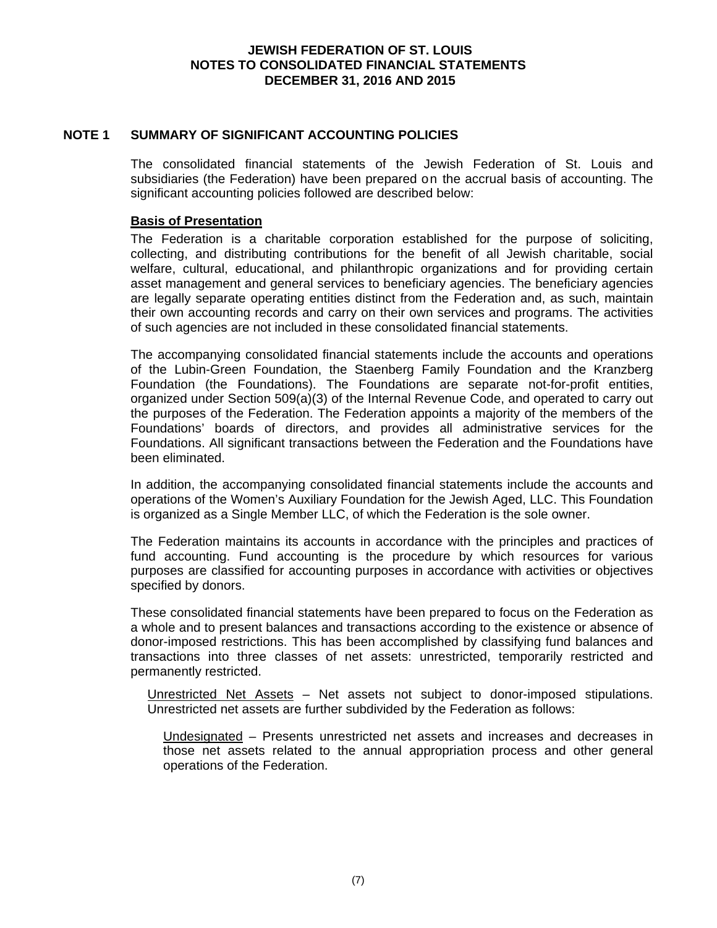### **NOTE 1 SUMMARY OF SIGNIFICANT ACCOUNTING POLICIES**

The consolidated financial statements of the Jewish Federation of St. Louis and subsidiaries (the Federation) have been prepared on the accrual basis of accounting. The significant accounting policies followed are described below:

#### **Basis of Presentation**

The Federation is a charitable corporation established for the purpose of soliciting, collecting, and distributing contributions for the benefit of all Jewish charitable, social welfare, cultural, educational, and philanthropic organizations and for providing certain asset management and general services to beneficiary agencies. The beneficiary agencies are legally separate operating entities distinct from the Federation and, as such, maintain their own accounting records and carry on their own services and programs. The activities of such agencies are not included in these consolidated financial statements.

The accompanying consolidated financial statements include the accounts and operations of the Lubin-Green Foundation, the Staenberg Family Foundation and the Kranzberg Foundation (the Foundations). The Foundations are separate not-for-profit entities, organized under Section 509(a)(3) of the Internal Revenue Code, and operated to carry out the purposes of the Federation. The Federation appoints a majority of the members of the Foundations' boards of directors, and provides all administrative services for the Foundations. All significant transactions between the Federation and the Foundations have been eliminated.

In addition, the accompanying consolidated financial statements include the accounts and operations of the Women's Auxiliary Foundation for the Jewish Aged, LLC. This Foundation is organized as a Single Member LLC, of which the Federation is the sole owner.

The Federation maintains its accounts in accordance with the principles and practices of fund accounting. Fund accounting is the procedure by which resources for various purposes are classified for accounting purposes in accordance with activities or objectives specified by donors.

These consolidated financial statements have been prepared to focus on the Federation as a whole and to present balances and transactions according to the existence or absence of donor-imposed restrictions. This has been accomplished by classifying fund balances and transactions into three classes of net assets: unrestricted, temporarily restricted and permanently restricted.

Unrestricted Net Assets – Net assets not subject to donor-imposed stipulations. Unrestricted net assets are further subdivided by the Federation as follows:

Undesignated – Presents unrestricted net assets and increases and decreases in those net assets related to the annual appropriation process and other general operations of the Federation.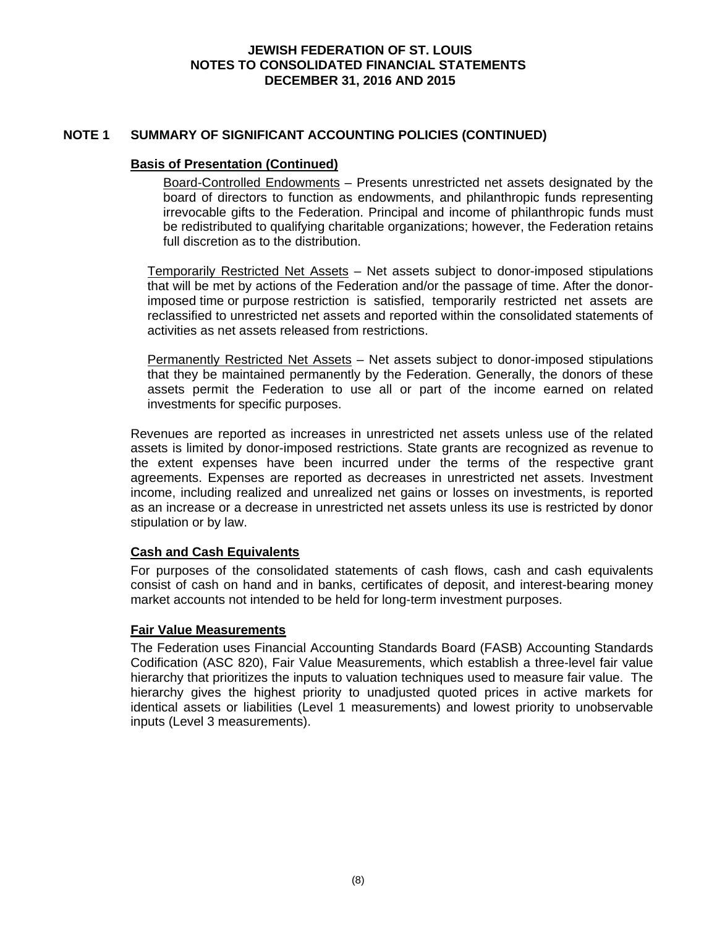### **NOTE 1 SUMMARY OF SIGNIFICANT ACCOUNTING POLICIES (CONTINUED)**

#### **Basis of Presentation (Continued)**

Board-Controlled Endowments – Presents unrestricted net assets designated by the board of directors to function as endowments, and philanthropic funds representing irrevocable gifts to the Federation. Principal and income of philanthropic funds must be redistributed to qualifying charitable organizations; however, the Federation retains full discretion as to the distribution.

Temporarily Restricted Net Assets – Net assets subject to donor-imposed stipulations that will be met by actions of the Federation and/or the passage of time. After the donorimposed time or purpose restriction is satisfied, temporarily restricted net assets are reclassified to unrestricted net assets and reported within the consolidated statements of activities as net assets released from restrictions.

Permanently Restricted Net Assets – Net assets subject to donor-imposed stipulations that they be maintained permanently by the Federation. Generally, the donors of these assets permit the Federation to use all or part of the income earned on related investments for specific purposes.

Revenues are reported as increases in unrestricted net assets unless use of the related assets is limited by donor-imposed restrictions. State grants are recognized as revenue to the extent expenses have been incurred under the terms of the respective grant agreements. Expenses are reported as decreases in unrestricted net assets. Investment income, including realized and unrealized net gains or losses on investments, is reported as an increase or a decrease in unrestricted net assets unless its use is restricted by donor stipulation or by law.

#### **Cash and Cash Equivalents**

For purposes of the consolidated statements of cash flows, cash and cash equivalents consist of cash on hand and in banks, certificates of deposit, and interest-bearing money market accounts not intended to be held for long-term investment purposes.

#### **Fair Value Measurements**

The Federation uses Financial Accounting Standards Board (FASB) Accounting Standards Codification (ASC 820), Fair Value Measurements, which establish a three-level fair value hierarchy that prioritizes the inputs to valuation techniques used to measure fair value. The hierarchy gives the highest priority to unadjusted quoted prices in active markets for identical assets or liabilities (Level 1 measurements) and lowest priority to unobservable inputs (Level 3 measurements).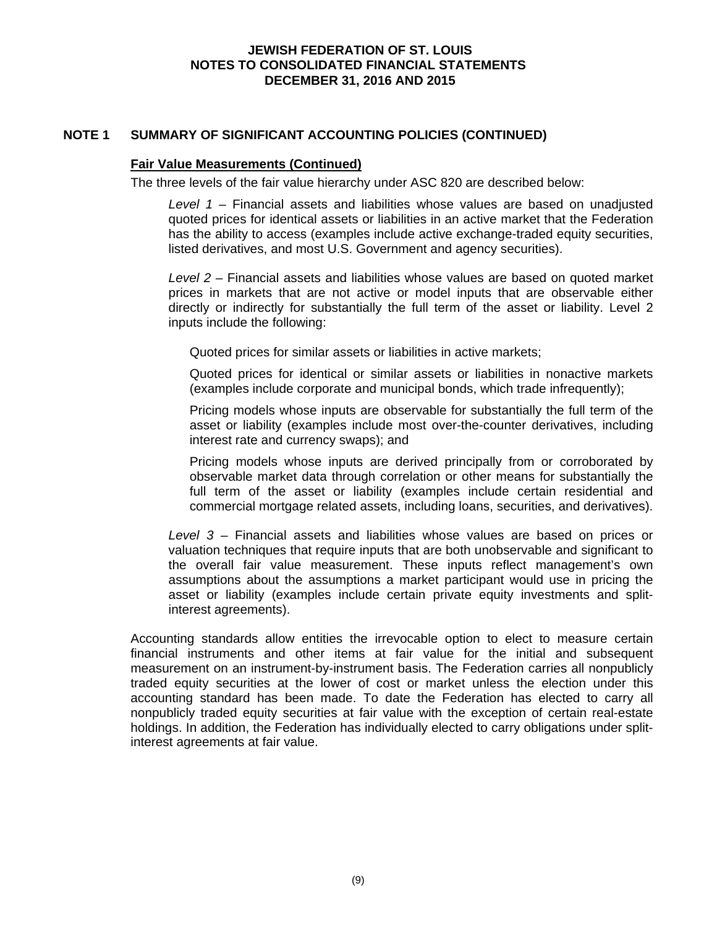### **NOTE 1 SUMMARY OF SIGNIFICANT ACCOUNTING POLICIES (CONTINUED)**

#### **Fair Value Measurements (Continued)**

The three levels of the fair value hierarchy under ASC 820 are described below:

*Level 1 –* Financial assets and liabilities whose values are based on unadjusted quoted prices for identical assets or liabilities in an active market that the Federation has the ability to access (examples include active exchange-traded equity securities, listed derivatives, and most U.S. Government and agency securities).

*Level 2 –* Financial assets and liabilities whose values are based on quoted market prices in markets that are not active or model inputs that are observable either directly or indirectly for substantially the full term of the asset or liability. Level 2 inputs include the following:

Quoted prices for similar assets or liabilities in active markets;

Quoted prices for identical or similar assets or liabilities in nonactive markets (examples include corporate and municipal bonds, which trade infrequently);

Pricing models whose inputs are observable for substantially the full term of the asset or liability (examples include most over-the-counter derivatives, including interest rate and currency swaps); and

Pricing models whose inputs are derived principally from or corroborated by observable market data through correlation or other means for substantially the full term of the asset or liability (examples include certain residential and commercial mortgage related assets, including loans, securities, and derivatives).

*Level 3 –* Financial assets and liabilities whose values are based on prices or valuation techniques that require inputs that are both unobservable and significant to the overall fair value measurement. These inputs reflect management's own assumptions about the assumptions a market participant would use in pricing the asset or liability (examples include certain private equity investments and splitinterest agreements).

Accounting standards allow entities the irrevocable option to elect to measure certain financial instruments and other items at fair value for the initial and subsequent measurement on an instrument-by-instrument basis. The Federation carries all nonpublicly traded equity securities at the lower of cost or market unless the election under this accounting standard has been made. To date the Federation has elected to carry all nonpublicly traded equity securities at fair value with the exception of certain real-estate holdings. In addition, the Federation has individually elected to carry obligations under splitinterest agreements at fair value.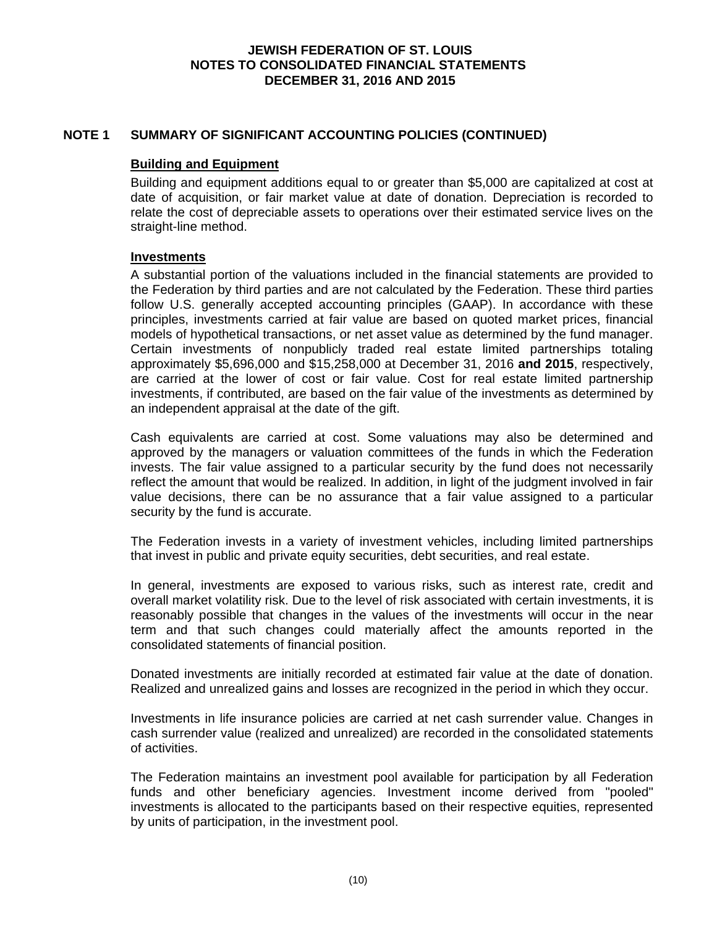### **NOTE 1 SUMMARY OF SIGNIFICANT ACCOUNTING POLICIES (CONTINUED)**

#### **Building and Equipment**

Building and equipment additions equal to or greater than \$5,000 are capitalized at cost at date of acquisition, or fair market value at date of donation. Depreciation is recorded to relate the cost of depreciable assets to operations over their estimated service lives on the straight-line method.

#### **Investments**

A substantial portion of the valuations included in the financial statements are provided to the Federation by third parties and are not calculated by the Federation. These third parties follow U.S. generally accepted accounting principles (GAAP). In accordance with these principles, investments carried at fair value are based on quoted market prices, financial models of hypothetical transactions, or net asset value as determined by the fund manager. Certain investments of nonpublicly traded real estate limited partnerships totaling approximately \$5,696,000 and \$15,258,000 at December 31, 2016 **and 2015**, respectively, are carried at the lower of cost or fair value. Cost for real estate limited partnership investments, if contributed, are based on the fair value of the investments as determined by an independent appraisal at the date of the gift.

Cash equivalents are carried at cost. Some valuations may also be determined and approved by the managers or valuation committees of the funds in which the Federation invests. The fair value assigned to a particular security by the fund does not necessarily reflect the amount that would be realized. In addition, in light of the judgment involved in fair value decisions, there can be no assurance that a fair value assigned to a particular security by the fund is accurate.

The Federation invests in a variety of investment vehicles, including limited partnerships that invest in public and private equity securities, debt securities, and real estate.

In general, investments are exposed to various risks, such as interest rate, credit and overall market volatility risk. Due to the level of risk associated with certain investments, it is reasonably possible that changes in the values of the investments will occur in the near term and that such changes could materially affect the amounts reported in the consolidated statements of financial position.

Donated investments are initially recorded at estimated fair value at the date of donation. Realized and unrealized gains and losses are recognized in the period in which they occur.

Investments in life insurance policies are carried at net cash surrender value. Changes in cash surrender value (realized and unrealized) are recorded in the consolidated statements of activities.

The Federation maintains an investment pool available for participation by all Federation funds and other beneficiary agencies. Investment income derived from "pooled" investments is allocated to the participants based on their respective equities, represented by units of participation, in the investment pool.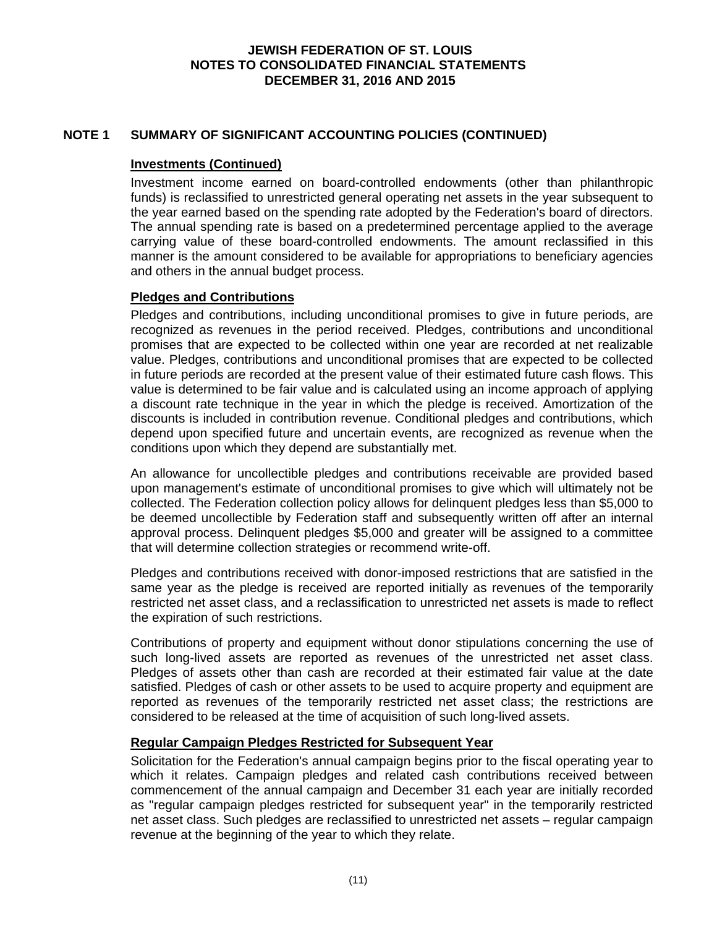## **NOTE 1 SUMMARY OF SIGNIFICANT ACCOUNTING POLICIES (CONTINUED)**

### **Investments (Continued)**

Investment income earned on board-controlled endowments (other than philanthropic funds) is reclassified to unrestricted general operating net assets in the year subsequent to the year earned based on the spending rate adopted by the Federation's board of directors. The annual spending rate is based on a predetermined percentage applied to the average carrying value of these board-controlled endowments. The amount reclassified in this manner is the amount considered to be available for appropriations to beneficiary agencies and others in the annual budget process.

### **Pledges and Contributions**

Pledges and contributions, including unconditional promises to give in future periods, are recognized as revenues in the period received. Pledges, contributions and unconditional promises that are expected to be collected within one year are recorded at net realizable value. Pledges, contributions and unconditional promises that are expected to be collected in future periods are recorded at the present value of their estimated future cash flows. This value is determined to be fair value and is calculated using an income approach of applying a discount rate technique in the year in which the pledge is received. Amortization of the discounts is included in contribution revenue. Conditional pledges and contributions, which depend upon specified future and uncertain events, are recognized as revenue when the conditions upon which they depend are substantially met.

An allowance for uncollectible pledges and contributions receivable are provided based upon management's estimate of unconditional promises to give which will ultimately not be collected. The Federation collection policy allows for delinquent pledges less than \$5,000 to be deemed uncollectible by Federation staff and subsequently written off after an internal approval process. Delinquent pledges \$5,000 and greater will be assigned to a committee that will determine collection strategies or recommend write-off.

Pledges and contributions received with donor-imposed restrictions that are satisfied in the same year as the pledge is received are reported initially as revenues of the temporarily restricted net asset class, and a reclassification to unrestricted net assets is made to reflect the expiration of such restrictions.

Contributions of property and equipment without donor stipulations concerning the use of such long-lived assets are reported as revenues of the unrestricted net asset class. Pledges of assets other than cash are recorded at their estimated fair value at the date satisfied. Pledges of cash or other assets to be used to acquire property and equipment are reported as revenues of the temporarily restricted net asset class; the restrictions are considered to be released at the time of acquisition of such long-lived assets.

### **Regular Campaign Pledges Restricted for Subsequent Year**

Solicitation for the Federation's annual campaign begins prior to the fiscal operating year to which it relates. Campaign pledges and related cash contributions received between commencement of the annual campaign and December 31 each year are initially recorded as "regular campaign pledges restricted for subsequent year" in the temporarily restricted net asset class. Such pledges are reclassified to unrestricted net assets – regular campaign revenue at the beginning of the year to which they relate.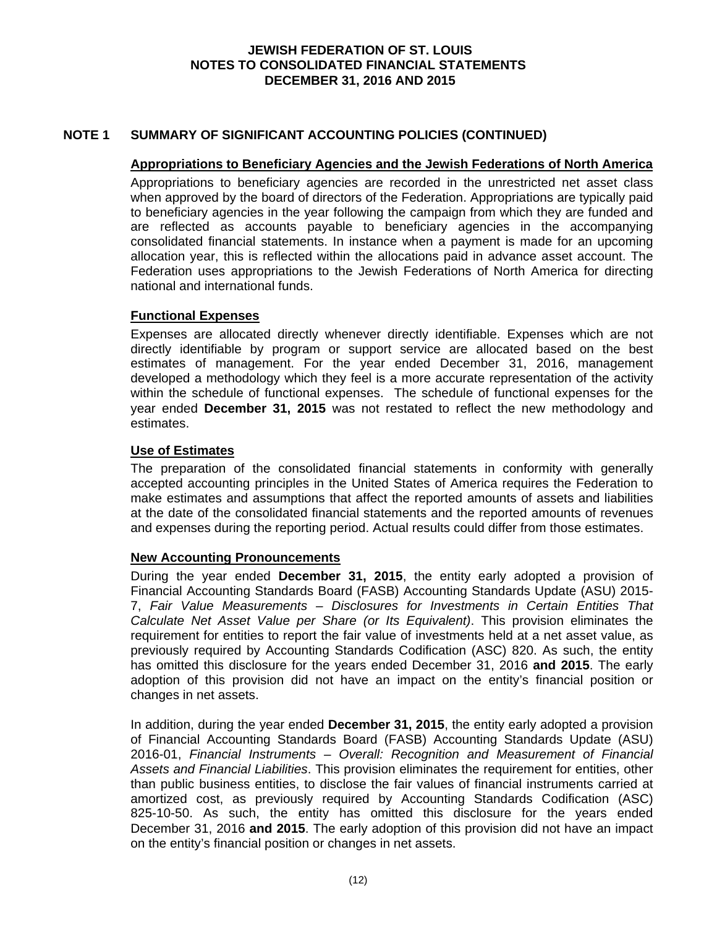### **NOTE 1 SUMMARY OF SIGNIFICANT ACCOUNTING POLICIES (CONTINUED)**

### **Appropriations to Beneficiary Agencies and the Jewish Federations of North America**

Appropriations to beneficiary agencies are recorded in the unrestricted net asset class when approved by the board of directors of the Federation. Appropriations are typically paid to beneficiary agencies in the year following the campaign from which they are funded and are reflected as accounts payable to beneficiary agencies in the accompanying consolidated financial statements. In instance when a payment is made for an upcoming allocation year, this is reflected within the allocations paid in advance asset account. The Federation uses appropriations to the Jewish Federations of North America for directing national and international funds.

### **Functional Expenses**

Expenses are allocated directly whenever directly identifiable. Expenses which are not directly identifiable by program or support service are allocated based on the best estimates of management. For the year ended December 31, 2016, management developed a methodology which they feel is a more accurate representation of the activity within the schedule of functional expenses. The schedule of functional expenses for the year ended **December 31, 2015** was not restated to reflect the new methodology and estimates.

### **Use of Estimates**

The preparation of the consolidated financial statements in conformity with generally accepted accounting principles in the United States of America requires the Federation to make estimates and assumptions that affect the reported amounts of assets and liabilities at the date of the consolidated financial statements and the reported amounts of revenues and expenses during the reporting period. Actual results could differ from those estimates.

#### **New Accounting Pronouncements**

During the year ended **December 31, 2015**, the entity early adopted a provision of Financial Accounting Standards Board (FASB) Accounting Standards Update (ASU) 2015- 7, *Fair Value Measurements – Disclosures for Investments in Certain Entities That Calculate Net Asset Value per Share (or Its Equivalent)*. This provision eliminates the requirement for entities to report the fair value of investments held at a net asset value, as previously required by Accounting Standards Codification (ASC) 820. As such, the entity has omitted this disclosure for the years ended December 31, 2016 **and 2015**. The early adoption of this provision did not have an impact on the entity's financial position or changes in net assets.

In addition, during the year ended **December 31, 2015**, the entity early adopted a provision of Financial Accounting Standards Board (FASB) Accounting Standards Update (ASU) 2016-01, *Financial Instruments – Overall: Recognition and Measurement of Financial Assets and Financial Liabilities*. This provision eliminates the requirement for entities, other than public business entities, to disclose the fair values of financial instruments carried at amortized cost, as previously required by Accounting Standards Codification (ASC) 825-10-50. As such, the entity has omitted this disclosure for the years ended December 31, 2016 **and 2015**. The early adoption of this provision did not have an impact on the entity's financial position or changes in net assets.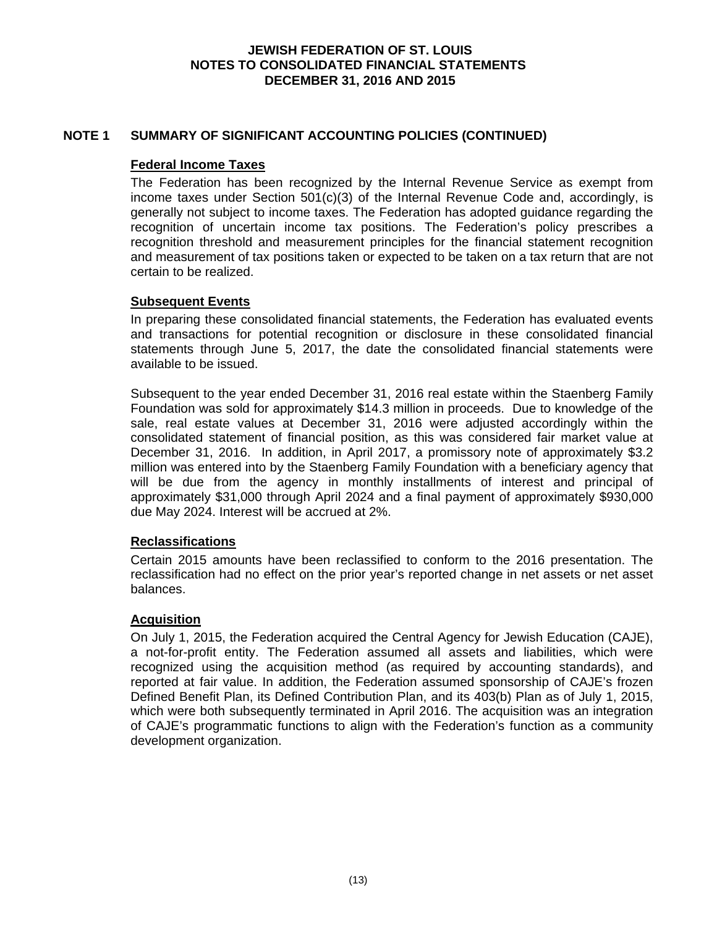### **NOTE 1 SUMMARY OF SIGNIFICANT ACCOUNTING POLICIES (CONTINUED)**

### **Federal Income Taxes**

The Federation has been recognized by the Internal Revenue Service as exempt from income taxes under Section  $501(c)(3)$  of the Internal Revenue Code and, accordingly, is generally not subject to income taxes. The Federation has adopted guidance regarding the recognition of uncertain income tax positions. The Federation's policy prescribes a recognition threshold and measurement principles for the financial statement recognition and measurement of tax positions taken or expected to be taken on a tax return that are not certain to be realized.

#### **Subsequent Events**

In preparing these consolidated financial statements, the Federation has evaluated events and transactions for potential recognition or disclosure in these consolidated financial statements through June 5, 2017, the date the consolidated financial statements were available to be issued.

Subsequent to the year ended December 31, 2016 real estate within the Staenberg Family Foundation was sold for approximately \$14.3 million in proceeds. Due to knowledge of the sale, real estate values at December 31, 2016 were adjusted accordingly within the consolidated statement of financial position, as this was considered fair market value at December 31, 2016. In addition, in April 2017, a promissory note of approximately \$3.2 million was entered into by the Staenberg Family Foundation with a beneficiary agency that will be due from the agency in monthly installments of interest and principal of approximately \$31,000 through April 2024 and a final payment of approximately \$930,000 due May 2024. Interest will be accrued at 2%.

#### **Reclassifications**

Certain 2015 amounts have been reclassified to conform to the 2016 presentation. The reclassification had no effect on the prior year's reported change in net assets or net asset balances.

#### **Acquisition**

On July 1, 2015, the Federation acquired the Central Agency for Jewish Education (CAJE), a not-for-profit entity. The Federation assumed all assets and liabilities, which were recognized using the acquisition method (as required by accounting standards), and reported at fair value. In addition, the Federation assumed sponsorship of CAJE's frozen Defined Benefit Plan, its Defined Contribution Plan, and its 403(b) Plan as of July 1, 2015, which were both subsequently terminated in April 2016. The acquisition was an integration of CAJE's programmatic functions to align with the Federation's function as a community development organization.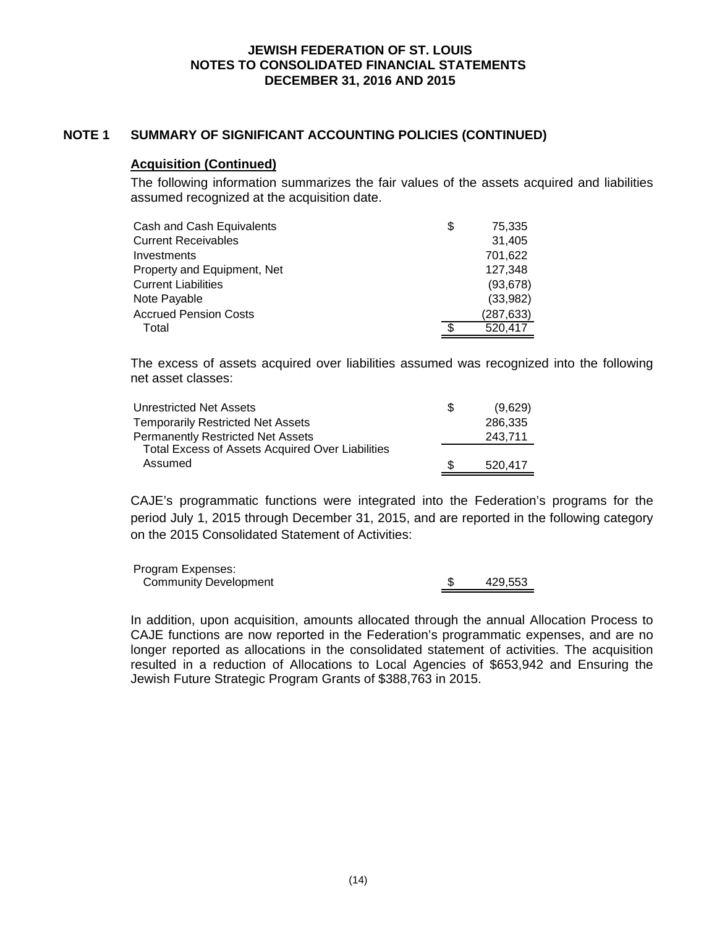### **NOTE 1 SUMMARY OF SIGNIFICANT ACCOUNTING POLICIES (CONTINUED)**

#### **Acquisition (Continued)**

The following information summarizes the fair values of the assets acquired and liabilities assumed recognized at the acquisition date.

| Cash and Cash Equivalents    | \$. | 75,335     |
|------------------------------|-----|------------|
| <b>Current Receivables</b>   |     | 31,405     |
| Investments                  |     | 701,622    |
| Property and Equipment, Net  |     | 127,348    |
| <b>Current Liabilities</b>   |     | (93, 678)  |
| Note Payable                 |     | (33,982)   |
| <b>Accrued Pension Costs</b> |     | (287, 633) |
| Total                        |     | 520,417    |

The excess of assets acquired over liabilities assumed was recognized into the following net asset classes:

| Unrestricted Net Assets                                 | \$  | (9.629) |
|---------------------------------------------------------|-----|---------|
| <b>Temporarily Restricted Net Assets</b>                |     | 286,335 |
| <b>Permanently Restricted Net Assets</b>                |     | 243.711 |
| <b>Total Excess of Assets Acquired Over Liabilities</b> |     |         |
| Assumed                                                 | \$. | 520.417 |

CAJE's programmatic functions were integrated into the Federation's programs for the period July 1, 2015 through December 31, 2015, and are reported in the following category on the 2015 Consolidated Statement of Activities:

| Program Expenses:            |         |
|------------------------------|---------|
| <b>Community Development</b> | 429,553 |
|                              |         |

In addition, upon acquisition, amounts allocated through the annual Allocation Process to CAJE functions are now reported in the Federation's programmatic expenses, and are no longer reported as allocations in the consolidated statement of activities. The acquisition resulted in a reduction of Allocations to Local Agencies of \$653,942 and Ensuring the Jewish Future Strategic Program Grants of \$388,763 in 2015.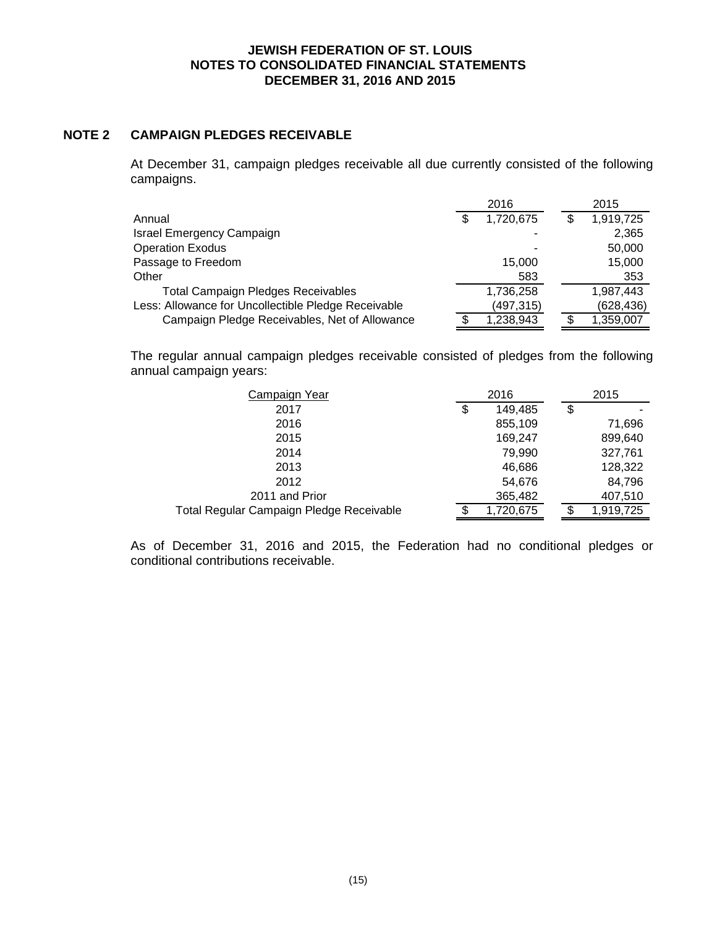### **NOTE 2 CAMPAIGN PLEDGES RECEIVABLE**

At December 31, campaign pledges receivable all due currently consisted of the following campaigns.

|                                                     |     | 2016      | 2015       |
|-----------------------------------------------------|-----|-----------|------------|
| Annual                                              | \$. | 1,720,675 | 1,919,725  |
| <b>Israel Emergency Campaign</b>                    |     |           | 2,365      |
| <b>Operation Exodus</b>                             |     |           | 50,000     |
| Passage to Freedom                                  |     | 15,000    | 15,000     |
| Other                                               |     | 583       | 353        |
| <b>Total Campaign Pledges Receivables</b>           |     | 1,736,258 | 1,987,443  |
| Less: Allowance for Uncollectible Pledge Receivable |     | (497,315) | (628, 436) |
| Campaign Pledge Receivables, Net of Allowance       | S   | 1,238,943 | 1,359,007  |

The regular annual campaign pledges receivable consisted of pledges from the following annual campaign years:

| Campaign Year                            | 2016 |           | 2015      |
|------------------------------------------|------|-----------|-----------|
| 2017                                     | \$   | 149,485   | \$        |
| 2016                                     |      | 855,109   | 71,696    |
| 2015                                     |      | 169,247   | 899,640   |
| 2014                                     |      | 79.990    | 327,761   |
| 2013                                     |      | 46,686    | 128,322   |
| 2012                                     |      | 54,676    | 84,796    |
| 2011 and Prior                           |      | 365,482   | 407,510   |
| Total Regular Campaign Pledge Receivable |      | 1,720,675 | 1,919,725 |

As of December 31, 2016 and 2015, the Federation had no conditional pledges or conditional contributions receivable.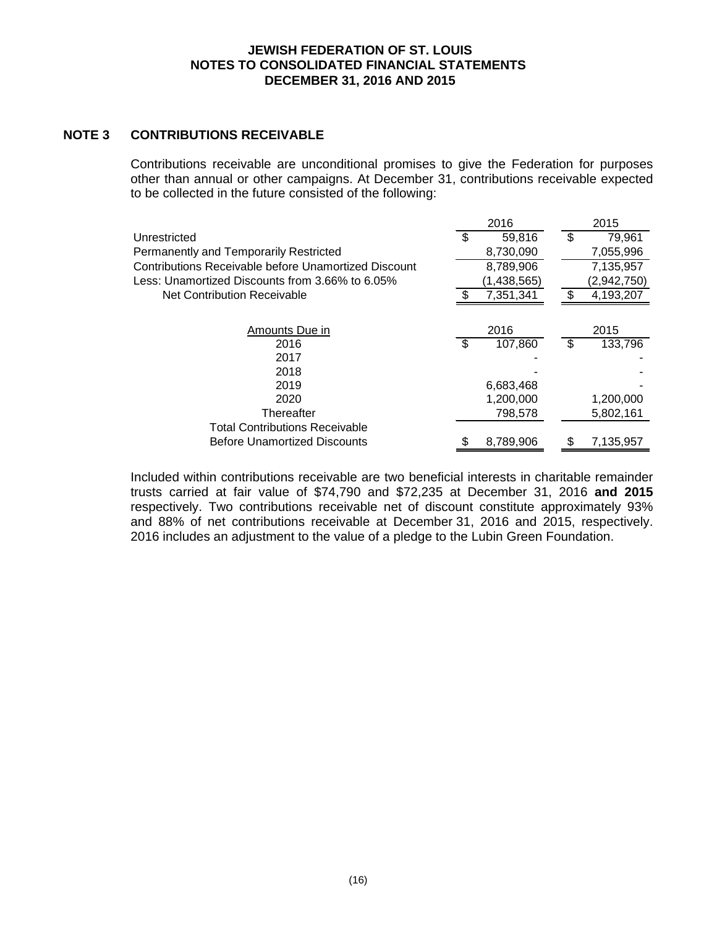### **NOTE 3 CONTRIBUTIONS RECEIVABLE**

Contributions receivable are unconditional promises to give the Federation for purposes other than annual or other campaigns. At December 31, contributions receivable expected to be collected in the future consisted of the following:

|                                                      | 2016 |             |    | 2015        |
|------------------------------------------------------|------|-------------|----|-------------|
| Unrestricted                                         | \$   | 59,816      | \$ | 79,961      |
| Permanently and Temporarily Restricted               |      | 8,730,090   |    | 7,055,996   |
| Contributions Receivable before Unamortized Discount |      | 8,789,906   |    | 7,135,957   |
| Less: Unamortized Discounts from 3.66% to 6.05%      |      | (1,438,565) |    | (2,942,750) |
| <b>Net Contribution Receivable</b>                   |      | 7,351,341   | £. | 4,193,207   |
|                                                      |      |             |    |             |
| Amounts Due in                                       |      | 2016        |    | 2015        |
| 2016                                                 | \$   | 107,860     | S  | 133,796     |
| 2017                                                 |      |             |    |             |
| 2018                                                 |      |             |    |             |
| 2019                                                 |      | 6,683,468   |    |             |
| 2020                                                 |      | 1,200,000   |    | 1,200,000   |
| Thereafter                                           |      | 798,578     |    | 5,802,161   |
| <b>Total Contributions Receivable</b>                |      |             |    |             |
| <b>Before Unamortized Discounts</b>                  |      | 8,789,906   |    | 7,135,957   |

Included within contributions receivable are two beneficial interests in charitable remainder trusts carried at fair value of \$74,790 and \$72,235 at December 31, 2016 **and 2015** respectively. Two contributions receivable net of discount constitute approximately 93% and 88% of net contributions receivable at December 31, 2016 and 2015, respectively. 2016 includes an adjustment to the value of a pledge to the Lubin Green Foundation.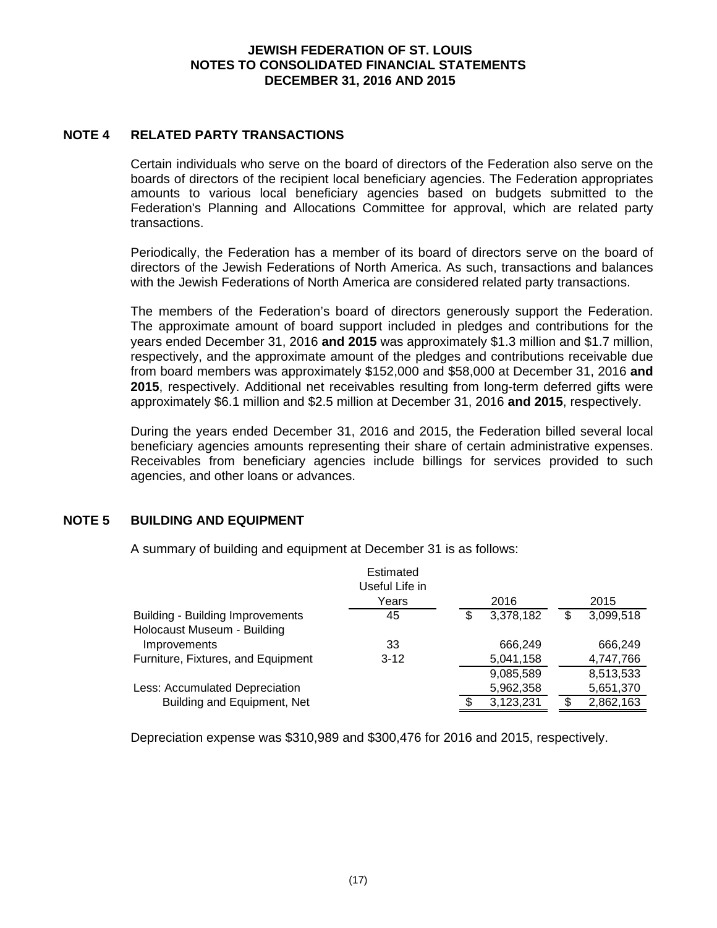### **NOTE 4 RELATED PARTY TRANSACTIONS**

Certain individuals who serve on the board of directors of the Federation also serve on the boards of directors of the recipient local beneficiary agencies. The Federation appropriates amounts to various local beneficiary agencies based on budgets submitted to the Federation's Planning and Allocations Committee for approval, which are related party transactions.

Periodically, the Federation has a member of its board of directors serve on the board of directors of the Jewish Federations of North America. As such, transactions and balances with the Jewish Federations of North America are considered related party transactions.

The members of the Federation's board of directors generously support the Federation. The approximate amount of board support included in pledges and contributions for the years ended December 31, 2016 **and 2015** was approximately \$1.3 million and \$1.7 million, respectively, and the approximate amount of the pledges and contributions receivable due from board members was approximately \$152,000 and \$58,000 at December 31, 2016 **and 2015**, respectively. Additional net receivables resulting from long-term deferred gifts were approximately \$6.1 million and \$2.5 million at December 31, 2016 **and 2015**, respectively.

During the years ended December 31, 2016 and 2015, the Federation billed several local beneficiary agencies amounts representing their share of certain administrative expenses. Receivables from beneficiary agencies include billings for services provided to such agencies, and other loans or advances.

#### **NOTE 5 BUILDING AND EQUIPMENT**

A summary of building and equipment at December 31 is as follows:

|                                         | Estimated      |           |           |
|-----------------------------------------|----------------|-----------|-----------|
|                                         | Useful Life in |           |           |
|                                         | Years          | 2016      | 2015      |
| <b>Building - Building Improvements</b> | 45             | 3,378,182 | 3,099,518 |
| Holocaust Museum - Building             |                |           |           |
| Improvements                            | 33             | 666,249   | 666,249   |
| Furniture, Fixtures, and Equipment      | $3-12$         | 5,041,158 | 4,747,766 |
|                                         |                | 9,085,589 | 8,513,533 |
| Less: Accumulated Depreciation          |                | 5,962,358 | 5,651,370 |
| Building and Equipment, Net             |                | 3,123,231 | 2,862,163 |
|                                         |                |           |           |

Depreciation expense was \$310,989 and \$300,476 for 2016 and 2015, respectively.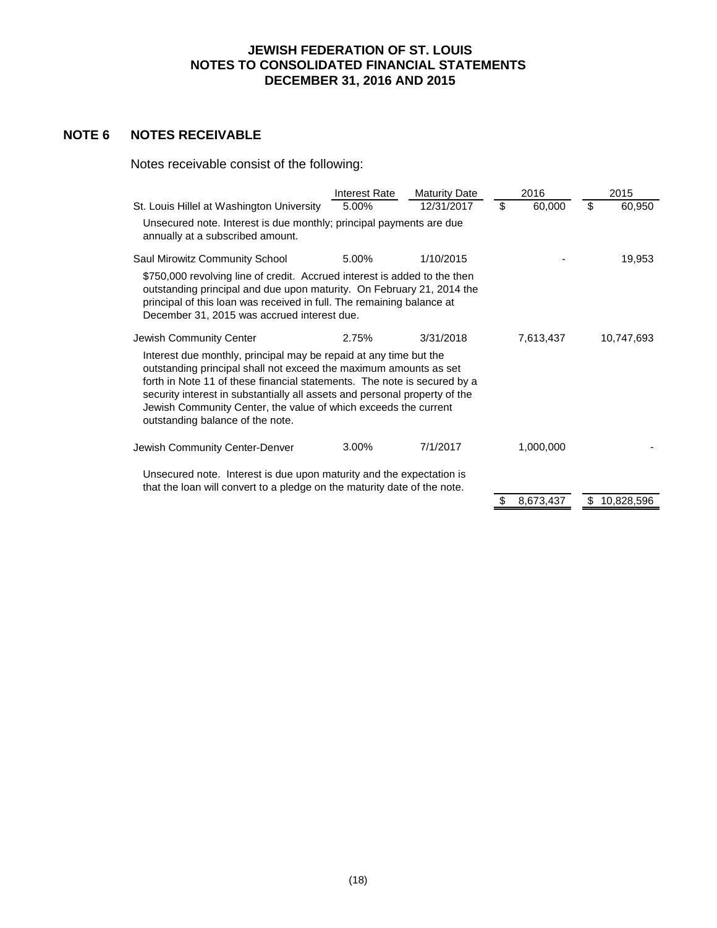### **NOTE 6 NOTES RECEIVABLE**

Notes receivable consist of the following:

|                                                                                                                                                                                                                                                                                                                                                                                                         | Interest Rate | <b>Maturity Date</b> | 2016            | 2015         |
|---------------------------------------------------------------------------------------------------------------------------------------------------------------------------------------------------------------------------------------------------------------------------------------------------------------------------------------------------------------------------------------------------------|---------------|----------------------|-----------------|--------------|
| St. Louis Hillel at Washington University                                                                                                                                                                                                                                                                                                                                                               | 5.00%         | 12/31/2017           | \$<br>60,000    | \$<br>60,950 |
| Unsecured note. Interest is due monthly; principal payments are due<br>annually at a subscribed amount.                                                                                                                                                                                                                                                                                                 |               |                      |                 |              |
| Saul Mirowitz Community School                                                                                                                                                                                                                                                                                                                                                                          | 5.00%         | 1/10/2015            |                 | 19,953       |
| \$750,000 revolving line of credit. Accrued interest is added to the then<br>outstanding principal and due upon maturity. On February 21, 2014 the<br>principal of this loan was received in full. The remaining balance at<br>December 31, 2015 was accrued interest due.                                                                                                                              |               |                      |                 |              |
| Jewish Community Center                                                                                                                                                                                                                                                                                                                                                                                 | 2.75%         | 3/31/2018            | 7,613,437       | 10,747,693   |
| Interest due monthly, principal may be repaid at any time but the<br>outstanding principal shall not exceed the maximum amounts as set<br>forth in Note 11 of these financial statements. The note is secured by a<br>security interest in substantially all assets and personal property of the<br>Jewish Community Center, the value of which exceeds the current<br>outstanding balance of the note. |               |                      |                 |              |
| Jewish Community Center-Denver                                                                                                                                                                                                                                                                                                                                                                          | 3.00%         | 7/1/2017             | 1,000,000       |              |
| Unsecured note. Interest is due upon maturity and the expectation is<br>that the loan will convert to a pledge on the maturity date of the note.                                                                                                                                                                                                                                                        |               |                      |                 |              |
|                                                                                                                                                                                                                                                                                                                                                                                                         |               |                      | \$<br>8,673,437 | \$10,828,596 |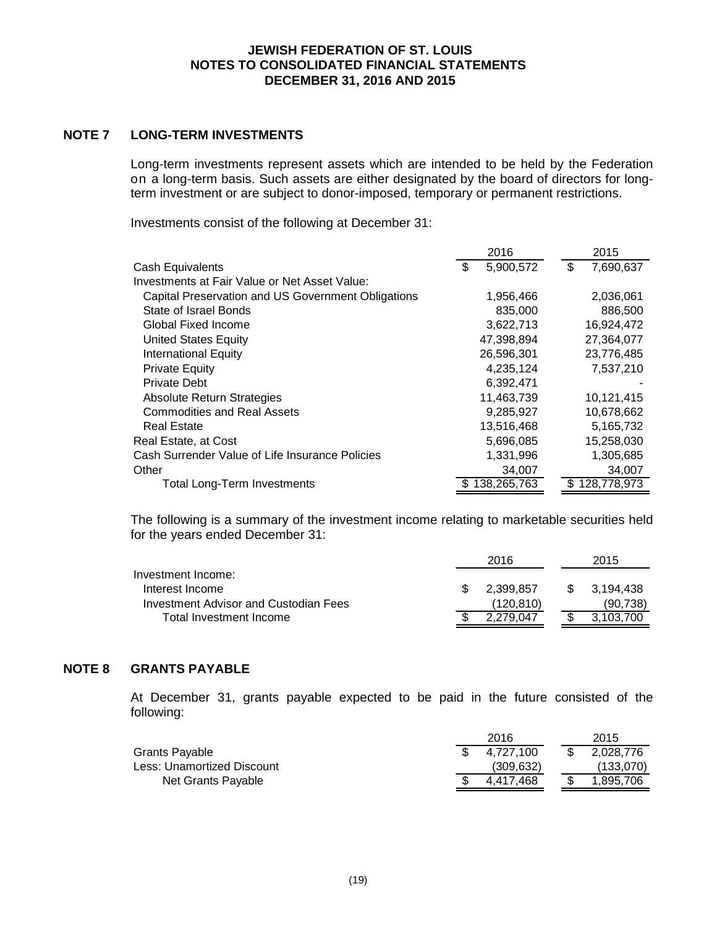### **NOTE 7 LONG-TERM INVESTMENTS**

Long-term investments represent assets which are intended to be held by the Federation on a long-term basis. Such assets are either designated by the board of directors for longterm investment or are subject to donor-imposed, temporary or permanent restrictions.

Investments consist of the following at December 31:

|                                                    | 2016            |     | 2015        |
|----------------------------------------------------|-----------------|-----|-------------|
| Cash Equivalents                                   | \$<br>5,900,572 | \$  | 7,690,637   |
| Investments at Fair Value or Net Asset Value:      |                 |     |             |
| Capital Preservation and US Government Obligations | 1,956,466       |     | 2,036,061   |
| State of Israel Bonds                              | 835,000         |     | 886,500     |
| Global Fixed Income                                | 3,622,713       |     | 16,924,472  |
| <b>United States Equity</b>                        | 47,398,894      |     | 27,364,077  |
| <b>International Equity</b>                        | 26,596,301      |     | 23,776,485  |
| <b>Private Equity</b>                              | 4,235,124       |     | 7,537,210   |
| <b>Private Debt</b>                                | 6,392,471       |     |             |
| <b>Absolute Return Strategies</b>                  | 11,463,739      |     | 10,121,415  |
| <b>Commodities and Real Assets</b>                 | 9,285,927       |     | 10,678,662  |
| Real Estate                                        | 13,516,468      |     | 5,165,732   |
| Real Estate, at Cost                               | 5,696,085       |     | 15,258,030  |
| Cash Surrender Value of Life Insurance Policies    | 1,331,996       |     | 1,305,685   |
| Other                                              | 34,007          |     | 34,007      |
| <b>Total Long-Term Investments</b>                 | 138,265,763     | \$. | 128,778,973 |

The following is a summary of the investment income relating to marketable securities held for the years ended December 31:

|                                       | 2016      |  | 2015      |
|---------------------------------------|-----------|--|-----------|
| Investment Income:                    |           |  |           |
| Interest Income                       | 2.399.857 |  | 3.194.438 |
| Investment Advisor and Custodian Fees | (120.810) |  | (90, 738) |
| Total Investment Income               | 2.279.047 |  | 3.103.700 |

#### **NOTE 8 GRANTS PAYABLE**

At December 31, grants payable expected to be paid in the future consisted of the following:

|                            | 2016      |  | 2015      |
|----------------------------|-----------|--|-----------|
| Grants Payable             | 4.727.100 |  | 2.028.776 |
| Less: Unamortized Discount | (309.632) |  | (133,070) |
| Net Grants Payable         | 4.417.468 |  | 1.895.706 |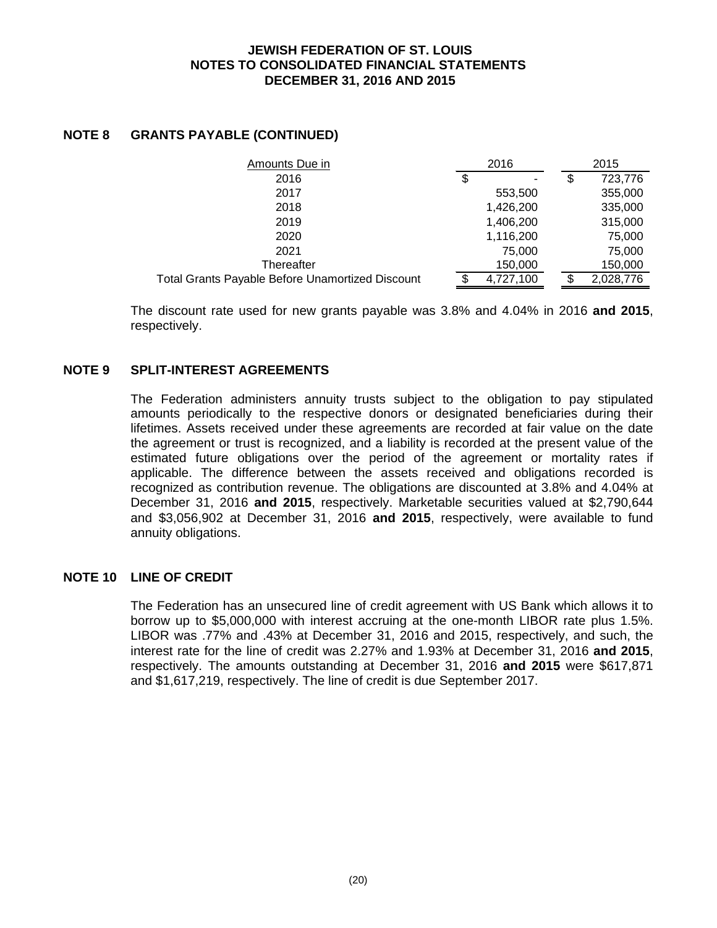### **NOTE 8 GRANTS PAYABLE (CONTINUED)**

| Amounts Due in                                   | 2016 |           | 2015            |
|--------------------------------------------------|------|-----------|-----------------|
| 2016                                             | \$   |           | \$<br>723,776   |
| 2017                                             |      | 553,500   | 355,000         |
| 2018                                             |      | 1,426,200 | 335,000         |
| 2019                                             |      | 1,406,200 | 315,000         |
| 2020                                             |      | 1,116,200 | 75,000          |
| 2021                                             |      | 75,000    | 75,000          |
| Thereafter                                       |      | 150,000   | 150,000         |
| Total Grants Payable Before Unamortized Discount | \$   | 4,727,100 | \$<br>2,028,776 |

The discount rate used for new grants payable was 3.8% and 4.04% in 2016 **and 2015**, respectively.

### **NOTE 9 SPLIT-INTEREST AGREEMENTS**

The Federation administers annuity trusts subject to the obligation to pay stipulated amounts periodically to the respective donors or designated beneficiaries during their lifetimes. Assets received under these agreements are recorded at fair value on the date the agreement or trust is recognized, and a liability is recorded at the present value of the estimated future obligations over the period of the agreement or mortality rates if applicable. The difference between the assets received and obligations recorded is recognized as contribution revenue. The obligations are discounted at 3.8% and 4.04% at December 31, 2016 **and 2015**, respectively. Marketable securities valued at \$2,790,644 and \$3,056,902 at December 31, 2016 **and 2015**, respectively, were available to fund annuity obligations.

#### **NOTE 10 LINE OF CREDIT**

The Federation has an unsecured line of credit agreement with US Bank which allows it to borrow up to \$5,000,000 with interest accruing at the one-month LIBOR rate plus 1.5%. LIBOR was .77% and .43% at December 31, 2016 and 2015, respectively, and such, the interest rate for the line of credit was 2.27% and 1.93% at December 31, 2016 **and 2015**, respectively. The amounts outstanding at December 31, 2016 **and 2015** were \$617,871 and \$1,617,219, respectively. The line of credit is due September 2017.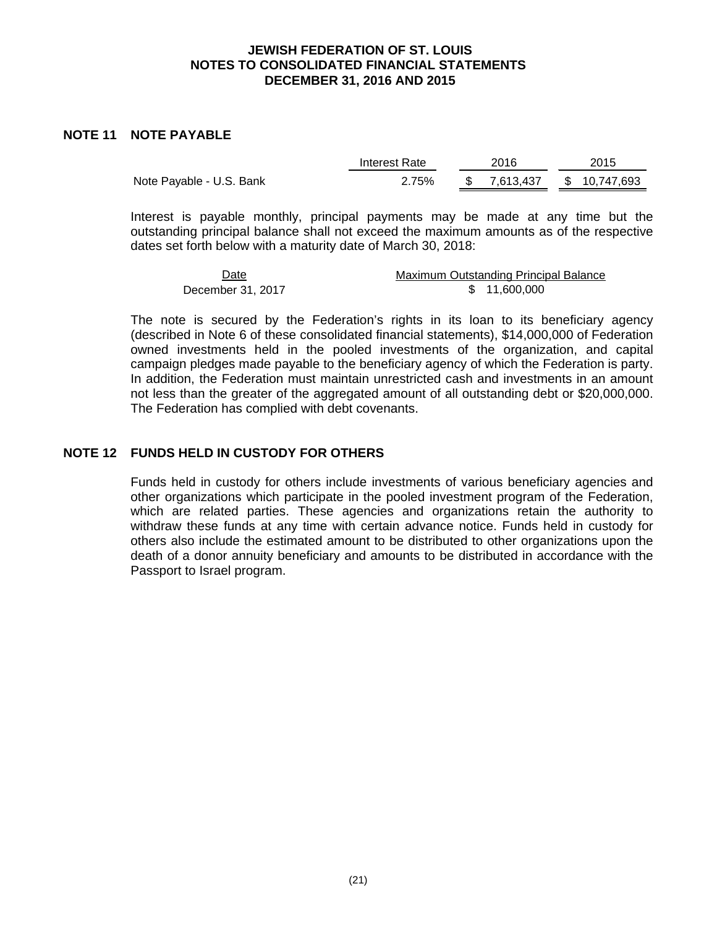### **NOTE 11 NOTE PAYABLE**

|                          | Interest Rate |  | 2016                       |  | 2015 |
|--------------------------|---------------|--|----------------------------|--|------|
| Note Payable - U.S. Bank | 2.75%         |  | \$ 7.613.437 \$ 10.747.693 |  |      |

Interest is payable monthly, principal payments may be made at any time but the outstanding principal balance shall not exceed the maximum amounts as of the respective dates set forth below with a maturity date of March 30, 2018:

| Date              | Maximum Outstanding Principal Balance |
|-------------------|---------------------------------------|
| December 31, 2017 | \$ 11.600.000                         |

The note is secured by the Federation's rights in its loan to its beneficiary agency (described in Note 6 of these consolidated financial statements), \$14,000,000 of Federation owned investments held in the pooled investments of the organization, and capital campaign pledges made payable to the beneficiary agency of which the Federation is party. In addition, the Federation must maintain unrestricted cash and investments in an amount not less than the greater of the aggregated amount of all outstanding debt or \$20,000,000. The Federation has complied with debt covenants.

### **NOTE 12 FUNDS HELD IN CUSTODY FOR OTHERS**

Funds held in custody for others include investments of various beneficiary agencies and other organizations which participate in the pooled investment program of the Federation, which are related parties. These agencies and organizations retain the authority to withdraw these funds at any time with certain advance notice. Funds held in custody for others also include the estimated amount to be distributed to other organizations upon the death of a donor annuity beneficiary and amounts to be distributed in accordance with the Passport to Israel program.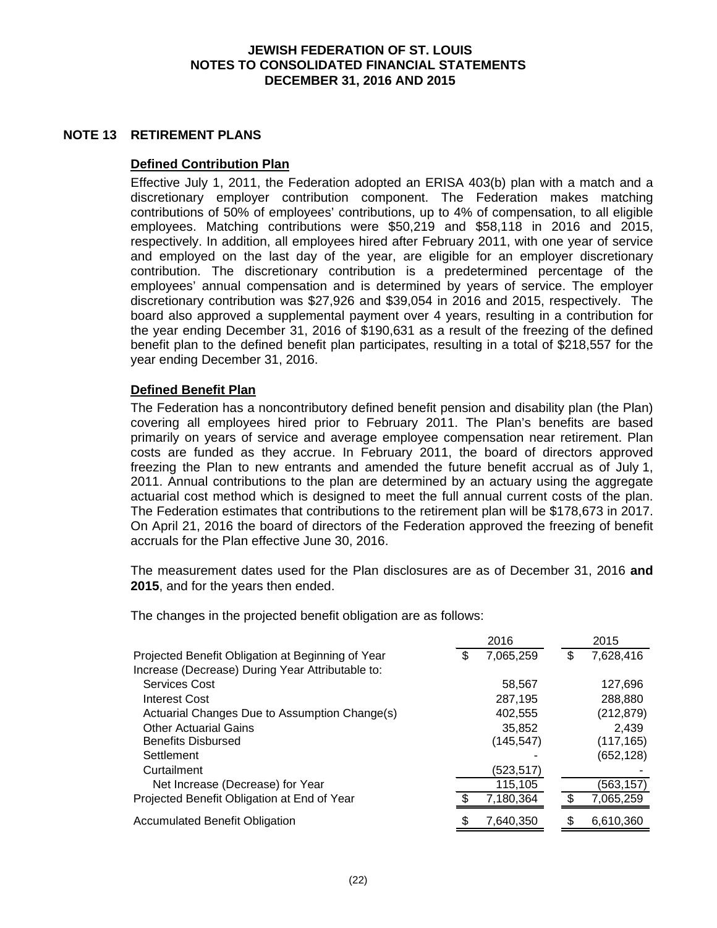### **NOTE 13 RETIREMENT PLANS**

### **Defined Contribution Plan**

Effective July 1, 2011, the Federation adopted an ERISA 403(b) plan with a match and a discretionary employer contribution component. The Federation makes matching contributions of 50% of employees' contributions, up to 4% of compensation, to all eligible employees. Matching contributions were \$50,219 and \$58,118 in 2016 and 2015, respectively. In addition, all employees hired after February 2011, with one year of service and employed on the last day of the year, are eligible for an employer discretionary contribution. The discretionary contribution is a predetermined percentage of the employees' annual compensation and is determined by years of service. The employer discretionary contribution was \$27,926 and \$39,054 in 2016 and 2015, respectively. The board also approved a supplemental payment over 4 years, resulting in a contribution for the year ending December 31, 2016 of \$190,631 as a result of the freezing of the defined benefit plan to the defined benefit plan participates, resulting in a total of \$218,557 for the year ending December 31, 2016.

### **Defined Benefit Plan**

The Federation has a noncontributory defined benefit pension and disability plan (the Plan) covering all employees hired prior to February 2011. The Plan's benefits are based primarily on years of service and average employee compensation near retirement. Plan costs are funded as they accrue. In February 2011, the board of directors approved freezing the Plan to new entrants and amended the future benefit accrual as of July 1, 2011. Annual contributions to the plan are determined by an actuary using the aggregate actuarial cost method which is designed to meet the full annual current costs of the plan. The Federation estimates that contributions to the retirement plan will be \$178,673 in 2017. On April 21, 2016 the board of directors of the Federation approved the freezing of benefit accruals for the Plan effective June 30, 2016.

The measurement dates used for the Plan disclosures are as of December 31, 2016 **and 2015**, and for the years then ended.

The changes in the projected benefit obligation are as follows:

|                                                   |   | 2016      | 2015            |
|---------------------------------------------------|---|-----------|-----------------|
| Projected Benefit Obligation at Beginning of Year | J | 7,065,259 | \$<br>7,628,416 |
| Increase (Decrease) During Year Attributable to:  |   |           |                 |
| <b>Services Cost</b>                              |   | 58.567    | 127.696         |
| Interest Cost                                     |   | 287,195   | 288,880         |
| Actuarial Changes Due to Assumption Change(s)     |   | 402,555   | (212, 879)      |
| <b>Other Actuarial Gains</b>                      |   | 35,852    | 2,439           |
| <b>Benefits Disbursed</b>                         |   | (145.547) | (117, 165)      |
| Settlement                                        |   |           | (652, 128)      |
| Curtailment                                       |   | (523,517) |                 |
| Net Increase (Decrease) for Year                  |   | 115,105   | (563,157)       |
| Projected Benefit Obligation at End of Year       |   | 7,180,364 | 7,065,259       |
| <b>Accumulated Benefit Obligation</b>             |   | 7,640,350 | 6,610,360       |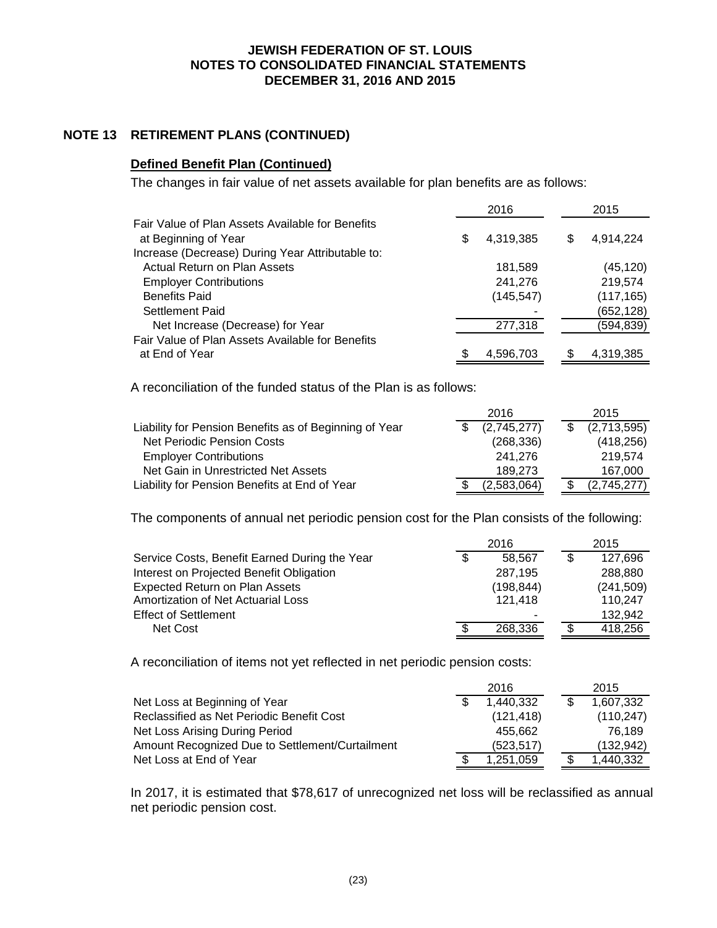# **NOTE 13 RETIREMENT PLANS (CONTINUED)**

#### **Defined Benefit Plan (Continued)**

The changes in fair value of net assets available for plan benefits are as follows:

|                                                                          |    | 2016       |     | 2015       |
|--------------------------------------------------------------------------|----|------------|-----|------------|
| Fair Value of Plan Assets Available for Benefits<br>at Beginning of Year | \$ | 4,319,385  | \$. | 4,914,224  |
| Increase (Decrease) During Year Attributable to:                         |    |            |     |            |
| Actual Return on Plan Assets                                             |    | 181,589    |     | (45, 120)  |
| <b>Employer Contributions</b>                                            |    | 241,276    |     | 219,574    |
| <b>Benefits Paid</b>                                                     |    | (145, 547) |     | (117, 165) |
| Settlement Paid                                                          |    |            |     | (652, 128) |
| Net Increase (Decrease) for Year                                         |    | 277,318    |     | (594,839)  |
| Fair Value of Plan Assets Available for Benefits                         |    |            |     |            |
| at End of Year                                                           | S  | 4,596,703  |     | 4,319,385  |

A reconciliation of the funded status of the Plan is as follows:

|                                                        | 2016        |  | 2015        |
|--------------------------------------------------------|-------------|--|-------------|
| Liability for Pension Benefits as of Beginning of Year | (2,745,277) |  | (2,713,595) |
| <b>Net Periodic Pension Costs</b>                      | (268, 336)  |  | (418, 256)  |
| <b>Employer Contributions</b>                          | 241.276     |  | 219.574     |
| Net Gain in Unrestricted Net Assets                    | 189.273     |  | 167.000     |
| Liability for Pension Benefits at End of Year          | (2,583,064) |  | (2,745,277) |

The components of annual net periodic pension cost for the Plan consists of the following:

|                                               | 2016         |  | 2015       |
|-----------------------------------------------|--------------|--|------------|
| Service Costs, Benefit Earned During the Year | \$<br>58.567 |  | 127.696    |
| Interest on Projected Benefit Obligation      | 287.195      |  | 288,880    |
| <b>Expected Return on Plan Assets</b>         | (198, 844)   |  | (241, 509) |
| Amortization of Net Actuarial Loss            | 121.418      |  | 110.247    |
| <b>Effect of Settlement</b>                   |              |  | 132.942    |
| Net Cost                                      | 268.336      |  | 418,256    |

A reconciliation of items not yet reflected in net periodic pension costs:

|                                                 | 2016       | 2015       |
|-------------------------------------------------|------------|------------|
| Net Loss at Beginning of Year                   | 1,440,332  | 1,607,332  |
| Reclassified as Net Periodic Benefit Cost       | (121, 418) | (110, 247) |
| Net Loss Arising During Period                  | 455.662    | 76.189     |
| Amount Recognized Due to Settlement/Curtailment | (523, 517) | (132, 942) |
| Net Loss at End of Year                         | 1.251.059  | .440.332   |

In 2017, it is estimated that \$78,617 of unrecognized net loss will be reclassified as annual net periodic pension cost.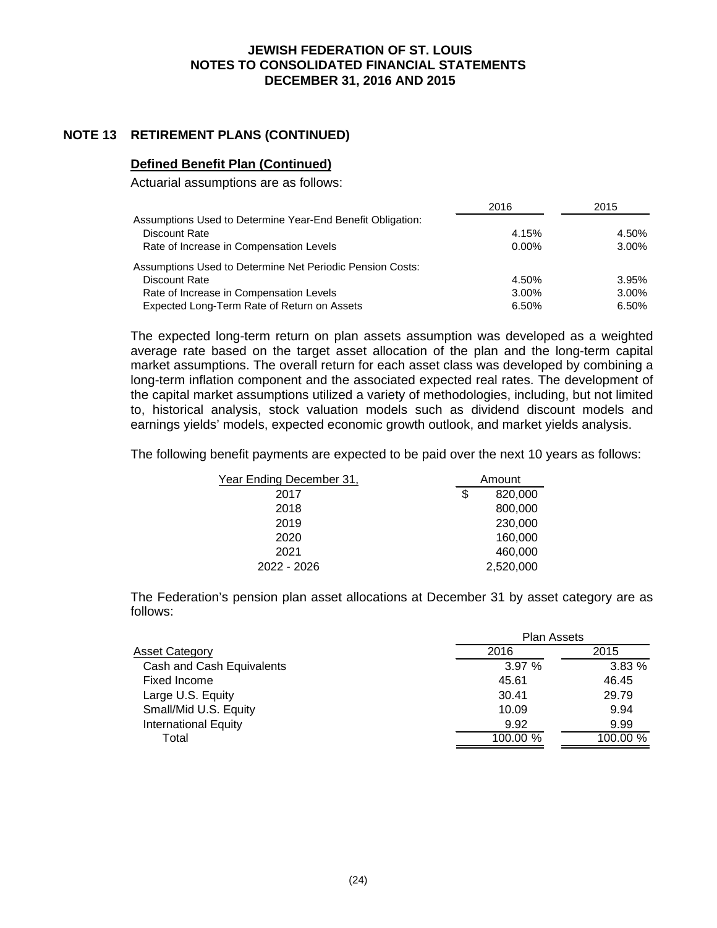## **NOTE 13 RETIREMENT PLANS (CONTINUED)**

#### **Defined Benefit Plan (Continued)**

Actuarial assumptions are as follows:

|                                                            | 2016     | 2015     |
|------------------------------------------------------------|----------|----------|
| Assumptions Used to Determine Year-End Benefit Obligation: |          |          |
| Discount Rate                                              | 4.15%    | 4.50%    |
| Rate of Increase in Compensation Levels                    | $0.00\%$ | 3.00%    |
| Assumptions Used to Determine Net Periodic Pension Costs:  |          |          |
| Discount Rate                                              | 4.50%    | $3.95\%$ |
| Rate of Increase in Compensation Levels                    | 3.00%    | 3.00%    |
| Expected Long-Term Rate of Return on Assets                | 6.50%    | 6.50%    |

The expected long-term return on plan assets assumption was developed as a weighted average rate based on the target asset allocation of the plan and the long-term capital market assumptions. The overall return for each asset class was developed by combining a long-term inflation component and the associated expected real rates. The development of the capital market assumptions utilized a variety of methodologies, including, but not limited to, historical analysis, stock valuation models such as dividend discount models and earnings yields' models, expected economic growth outlook, and market yields analysis.

The following benefit payments are expected to be paid over the next 10 years as follows:

| Year Ending December 31, | Amount        |  |
|--------------------------|---------------|--|
| 2017                     | \$<br>820,000 |  |
| 2018                     | 800,000       |  |
| 2019                     | 230,000       |  |
| 2020                     | 160,000       |  |
| 2021                     | 460,000       |  |
| 2022 - 2026              | 2,520,000     |  |

The Federation's pension plan asset allocations at December 31 by asset category are as follows:

|                             |          | <b>Plan Assets</b> |  |  |  |
|-----------------------------|----------|--------------------|--|--|--|
| Asset Category              | 2016     | 2015               |  |  |  |
| Cash and Cash Equivalents   | 3.97 %   | 3.83%              |  |  |  |
| Fixed Income                | 45.61    | 46.45              |  |  |  |
| Large U.S. Equity           | 30.41    | 29.79              |  |  |  |
| Small/Mid U.S. Equity       | 10.09    | 9.94               |  |  |  |
| <b>International Equity</b> | 9.92     | 9.99               |  |  |  |
| Total                       | 100.00 % | 100.00 %           |  |  |  |
|                             |          |                    |  |  |  |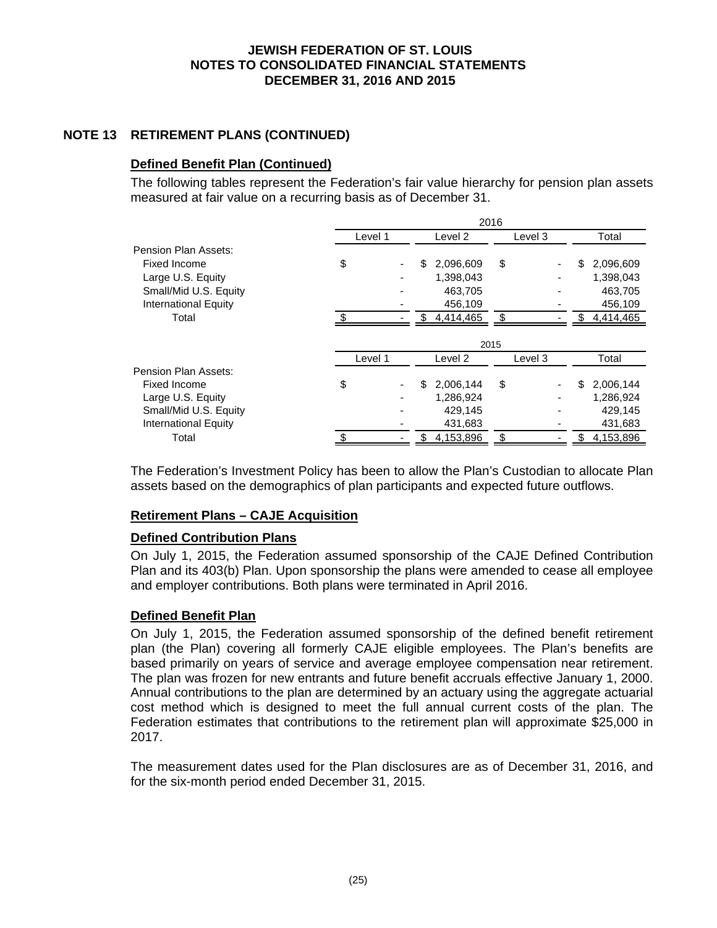## **NOTE 13 RETIREMENT PLANS (CONTINUED)**

### **Defined Benefit Plan (Continued)**

The following tables represent the Federation's fair value hierarchy for pension plan assets measured at fair value on a recurring basis as of December 31.

|                             |         |                 | 2016 |         |                 |
|-----------------------------|---------|-----------------|------|---------|-----------------|
|                             | Level 1 | Level 2         |      | Level 3 | Total           |
| Pension Plan Assets:        |         |                 |      |         |                 |
| Fixed Income                | \$      | \$<br>2,096,609 | \$   |         | 2,096,609<br>\$ |
| Large U.S. Equity           |         | 1,398,043       |      |         | 1,398,043       |
| Small/Mid U.S. Equity       |         | 463,705         |      |         | 463,705         |
| <b>International Equity</b> |         | 456,109         |      |         | 456,109         |
| Total                       | ደ       | \$<br>4,414,465 | \$   |         | 4,414,465<br>S  |
|                             |         |                 |      |         |                 |
|                             |         |                 | 2015 |         |                 |
|                             | Level 1 | Level 2         |      | Level 3 | Total           |
| Pension Plan Assets:        |         |                 |      |         |                 |
| Fixed Income                | \$      | \$<br>2,006,144 | \$   |         | \$<br>2,006,144 |
| Large U.S. Equity           |         | 1,286,924       |      |         | 1,286,924       |
| Small/Mid U.S. Equity       |         | 429,145         |      |         | 429,145         |
| <b>International Equity</b> |         | 431,683         |      |         | 431,683         |
| Total                       | \$      | \$<br>4,153,896 | \$   |         | 4,153,896<br>\$ |

The Federation's Investment Policy has been to allow the Plan's Custodian to allocate Plan assets based on the demographics of plan participants and expected future outflows.

### **Retirement Plans – CAJE Acquisition**

#### **Defined Contribution Plans**

On July 1, 2015, the Federation assumed sponsorship of the CAJE Defined Contribution Plan and its 403(b) Plan. Upon sponsorship the plans were amended to cease all employee and employer contributions. Both plans were terminated in April 2016.

#### **Defined Benefit Plan**

On July 1, 2015, the Federation assumed sponsorship of the defined benefit retirement plan (the Plan) covering all formerly CAJE eligible employees. The Plan's benefits are based primarily on years of service and average employee compensation near retirement. The plan was frozen for new entrants and future benefit accruals effective January 1, 2000. Annual contributions to the plan are determined by an actuary using the aggregate actuarial cost method which is designed to meet the full annual current costs of the plan. The Federation estimates that contributions to the retirement plan will approximate \$25,000 in 2017.

The measurement dates used for the Plan disclosures are as of December 31, 2016, and for the six-month period ended December 31, 2015.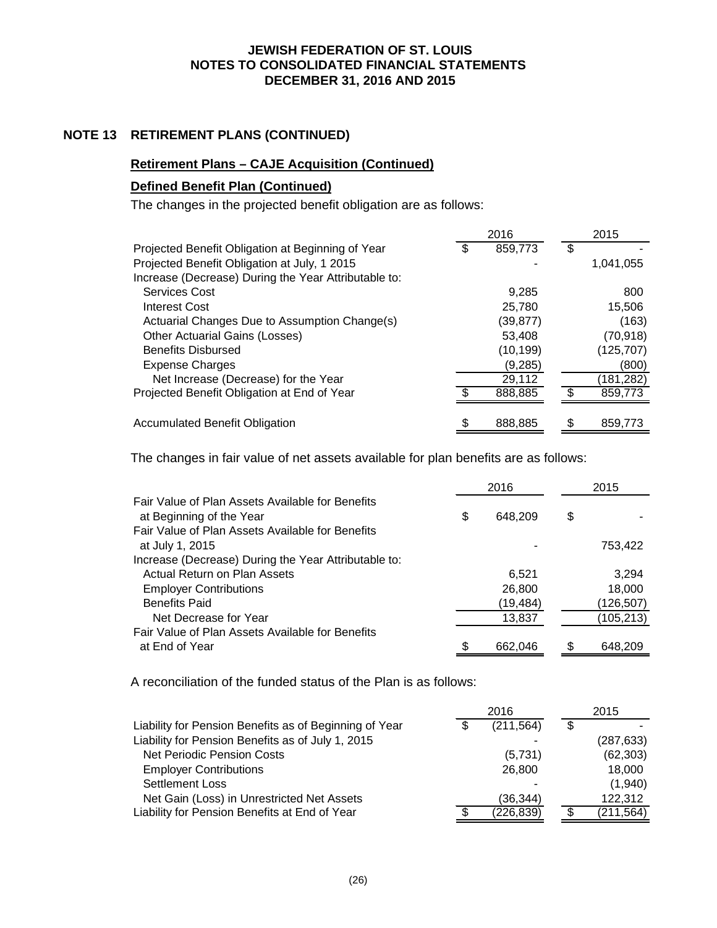## **NOTE 13 RETIREMENT PLANS (CONTINUED)**

# **Retirement Plans – CAJE Acquisition (Continued)**

## **Defined Benefit Plan (Continued)**

The changes in the projected benefit obligation are as follows:

|                                                      | 2016 |           |    | 2015       |  |
|------------------------------------------------------|------|-----------|----|------------|--|
| Projected Benefit Obligation at Beginning of Year    | S    | 859,773   | £. |            |  |
| Projected Benefit Obligation at July, 1 2015         |      |           |    | 1,041,055  |  |
| Increase (Decrease) During the Year Attributable to: |      |           |    |            |  |
| Services Cost                                        |      | 9.285     |    | 800        |  |
| Interest Cost                                        |      | 25,780    |    | 15,506     |  |
| Actuarial Changes Due to Assumption Change(s)        |      | (39,877)  |    | (163)      |  |
| Other Actuarial Gains (Losses)                       |      | 53,408    |    | (70, 918)  |  |
| <b>Benefits Disbursed</b>                            |      | (10, 199) |    | (125, 707) |  |
| <b>Expense Charges</b>                               |      | (9,285)   |    | (800)      |  |
| Net Increase (Decrease) for the Year                 |      | 29,112    |    | (181,282)  |  |
| Projected Benefit Obligation at End of Year          |      | 888,885   |    | 859.773    |  |
|                                                      |      |           |    |            |  |
| <b>Accumulated Benefit Obligation</b>                | \$   | 888,885   |    | 859,773    |  |

The changes in fair value of net assets available for plan benefits are as follows:

|                                                                              |    | 2016     | 2015       |  |  |
|------------------------------------------------------------------------------|----|----------|------------|--|--|
| Fair Value of Plan Assets Available for Benefits<br>at Beginning of the Year | \$ | 648.209  | \$         |  |  |
| Fair Value of Plan Assets Available for Benefits                             |    |          |            |  |  |
| at July 1, 2015                                                              |    |          | 753,422    |  |  |
| Increase (Decrease) During the Year Attributable to:                         |    |          |            |  |  |
| Actual Return on Plan Assets                                                 |    | 6.521    | 3.294      |  |  |
| <b>Employer Contributions</b>                                                |    | 26,800   | 18,000     |  |  |
| <b>Benefits Paid</b>                                                         |    | (19,484) | (126,507)  |  |  |
| Net Decrease for Year                                                        |    | 13,837   | (105, 213) |  |  |
| Fair Value of Plan Assets Available for Benefits                             |    |          |            |  |  |
| at End of Year                                                               | \$ | 662.046  | 648.209    |  |  |

A reconciliation of the funded status of the Plan is as follows:

|                                                        | 2016 |            | 2015       |  |
|--------------------------------------------------------|------|------------|------------|--|
| Liability for Pension Benefits as of Beginning of Year |      | (211, 564) | \$         |  |
| Liability for Pension Benefits as of July 1, 2015      |      |            | (287, 633) |  |
| Net Periodic Pension Costs                             |      | (5,731)    | (62, 303)  |  |
| <b>Employer Contributions</b>                          |      | 26,800     | 18,000     |  |
| <b>Settlement Loss</b>                                 |      |            | (1,940)    |  |
| Net Gain (Loss) in Unrestricted Net Assets             |      | (36, 344)  | 122,312    |  |
| Liability for Pension Benefits at End of Year          |      | (226, 839) | (211,564)  |  |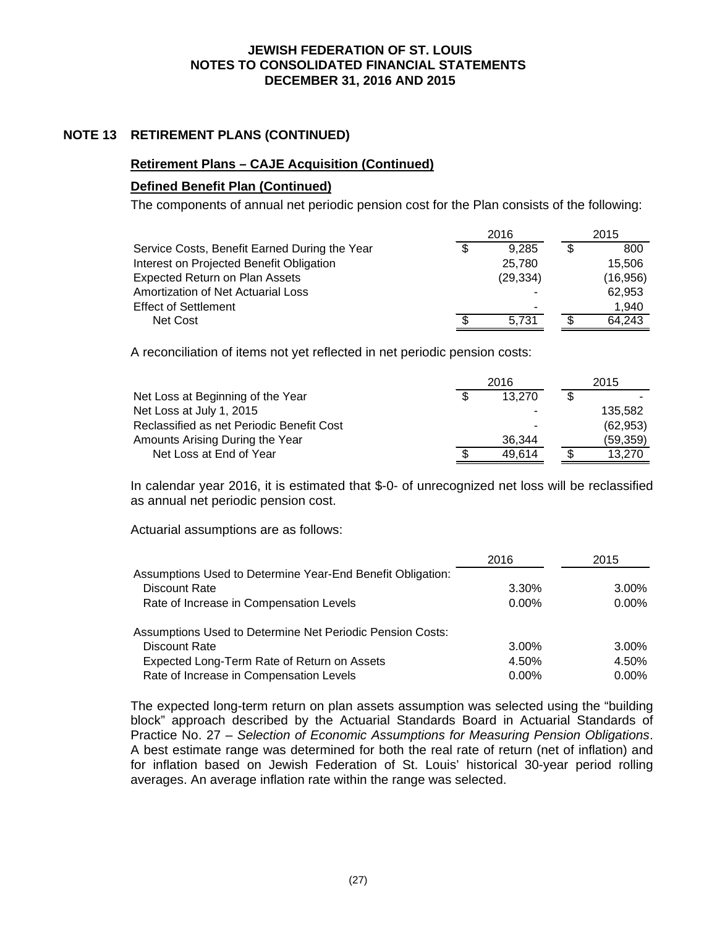### **NOTE 13 RETIREMENT PLANS (CONTINUED)**

#### **Retirement Plans – CAJE Acquisition (Continued)**

#### **Defined Benefit Plan (Continued)**

The components of annual net periodic pension cost for the Plan consists of the following:

|                                               |    | 2016      | 2015      |  |
|-----------------------------------------------|----|-----------|-----------|--|
| Service Costs, Benefit Earned During the Year | \$ | 9.285     | \$<br>800 |  |
| Interest on Projected Benefit Obligation      |    | 25,780    | 15.506    |  |
| <b>Expected Return on Plan Assets</b>         |    | (29, 334) | (16, 956) |  |
| Amortization of Net Actuarial Loss            |    |           | 62,953    |  |
| <b>Effect of Settlement</b>                   |    | ۰         | 1.940     |  |
| Net Cost                                      |    | 5.731     | 64.243    |  |

A reconciliation of items not yet reflected in net periodic pension costs:

|                                           |   | 2016   |  | 2015      |
|-------------------------------------------|---|--------|--|-----------|
| Net Loss at Beginning of the Year         |   | 13.270 |  |           |
| Net Loss at July 1, 2015                  |   |        |  | 135.582   |
| Reclassified as net Periodic Benefit Cost |   |        |  | (62, 953) |
| Amounts Arising During the Year           |   | 36.344 |  | (59, 359) |
| Net Loss at End of Year                   | S | 49.614 |  | 13.270    |

In calendar year 2016, it is estimated that \$-0- of unrecognized net loss will be reclassified as annual net periodic pension cost.

Actuarial assumptions are as follows:

|                                                            | 2016     | 2015     |
|------------------------------------------------------------|----------|----------|
| Assumptions Used to Determine Year-End Benefit Obligation: |          |          |
| Discount Rate                                              | 3.30%    | 3.00%    |
| Rate of Increase in Compensation Levels                    | $0.00\%$ | $0.00\%$ |
| Assumptions Used to Determine Net Periodic Pension Costs:  |          |          |
| Discount Rate                                              | $3.00\%$ | 3.00%    |
| Expected Long-Term Rate of Return on Assets                | 4.50%    | 4.50%    |
| Rate of Increase in Compensation Levels                    | $0.00\%$ | $0.00\%$ |

The expected long-term return on plan assets assumption was selected using the "building block" approach described by the Actuarial Standards Board in Actuarial Standards of Practice No. 27 – *Selection of Economic Assumptions for Measuring Pension Obligations*. A best estimate range was determined for both the real rate of return (net of inflation) and for inflation based on Jewish Federation of St. Louis' historical 30-year period rolling averages. An average inflation rate within the range was selected.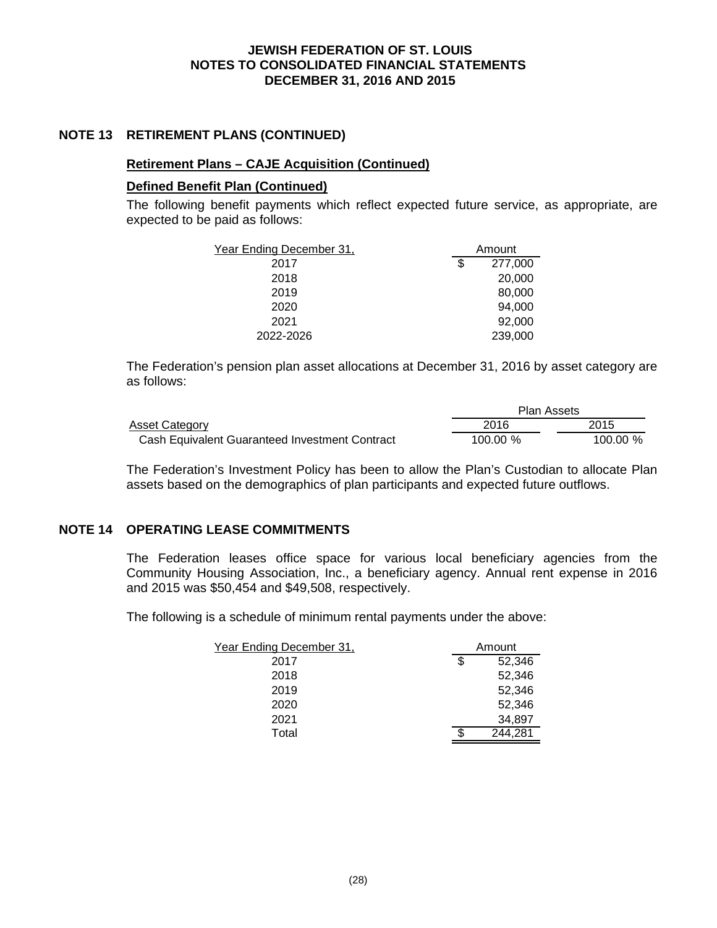### **NOTE 13 RETIREMENT PLANS (CONTINUED)**

#### **Retirement Plans – CAJE Acquisition (Continued)**

#### **Defined Benefit Plan (Continued)**

The following benefit payments which reflect expected future service, as appropriate, are expected to be paid as follows:

| Year Ending December 31, | Amount        |
|--------------------------|---------------|
| 2017                     | \$<br>277,000 |
| 2018                     | 20,000        |
| 2019                     | 80,000        |
| 2020                     | 94,000        |
| 2021                     | 92,000        |
| 2022-2026                | 239,000       |

The Federation's pension plan asset allocations at December 31, 2016 by asset category are as follows:

|                                                | Plan Assets |          |
|------------------------------------------------|-------------|----------|
| <b>Asset Category</b>                          | 2016        | 2015     |
| Cash Equivalent Guaranteed Investment Contract | 100.00 %    | 100.00 % |

The Federation's Investment Policy has been to allow the Plan's Custodian to allocate Plan assets based on the demographics of plan participants and expected future outflows.

### **NOTE 14 OPERATING LEASE COMMITMENTS**

The Federation leases office space for various local beneficiary agencies from the Community Housing Association, Inc., a beneficiary agency. Annual rent expense in 2016 and 2015 was \$50,454 and \$49,508, respectively.

The following is a schedule of minimum rental payments under the above:

| Year Ending December 31, | Amount |         |  |  |
|--------------------------|--------|---------|--|--|
| 2017                     | \$     | 52,346  |  |  |
| 2018                     |        | 52,346  |  |  |
| 2019                     |        | 52,346  |  |  |
| 2020                     |        | 52,346  |  |  |
| 2021                     |        | 34,897  |  |  |
| Total                    |        | 244,281 |  |  |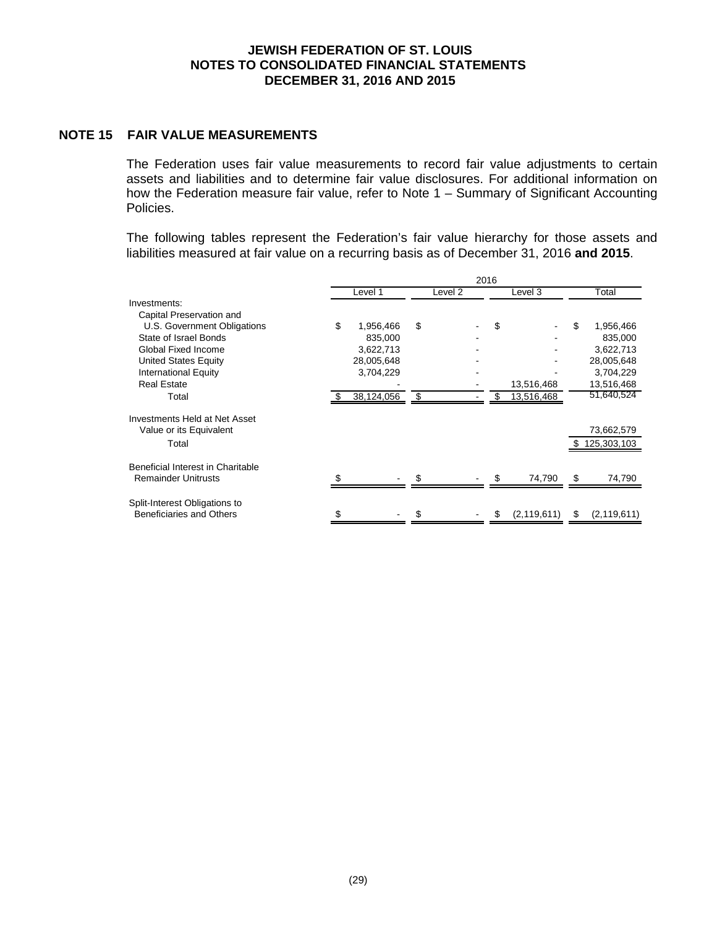### **NOTE 15 FAIR VALUE MEASUREMENTS**

The Federation uses fair value measurements to record fair value adjustments to certain assets and liabilities and to determine fair value disclosures. For additional information on how the Federation measure fair value, refer to Note 1 – Summary of Significant Accounting Policies.

The following tables represent the Federation's fair value hierarchy for those assets and liabilities measured at fair value on a recurring basis as of December 31, 2016 **and 2015**.

|                                                           | 2016 |                    |    |  |    |               |   |               |  |  |  |
|-----------------------------------------------------------|------|--------------------|----|--|----|---------------|---|---------------|--|--|--|
|                                                           |      | Level 2<br>Level 1 |    |  |    | Level 3       |   | Total         |  |  |  |
| Investments:                                              |      |                    |    |  |    |               |   |               |  |  |  |
| Capital Preservation and                                  |      |                    |    |  |    |               |   |               |  |  |  |
| U.S. Government Obligations                               | \$   | 1,956,466          | \$ |  | \$ |               |   | 1,956,466     |  |  |  |
| State of Israel Bonds                                     |      | 835,000            |    |  |    |               |   | 835,000       |  |  |  |
| Global Fixed Income                                       |      | 3,622,713          |    |  |    |               |   | 3,622,713     |  |  |  |
| <b>United States Equity</b>                               |      | 28,005,648         |    |  |    |               |   | 28,005,648    |  |  |  |
| <b>International Equity</b>                               |      | 3,704,229          |    |  |    |               |   | 3,704,229     |  |  |  |
| <b>Real Estate</b>                                        |      |                    |    |  |    | 13,516,468    |   | 13,516,468    |  |  |  |
| Total                                                     |      | 38,124,056         | S  |  |    | 13,516,468    |   | 51,640,524    |  |  |  |
| Investments Held at Net Asset                             |      |                    |    |  |    |               |   |               |  |  |  |
| Value or its Equivalent                                   |      |                    |    |  |    |               |   | 73,662,579    |  |  |  |
| Total                                                     |      |                    |    |  |    |               | S | 125,303,103   |  |  |  |
| Beneficial Interest in Charitable                         |      |                    |    |  |    |               |   |               |  |  |  |
| <b>Remainder Unitrusts</b>                                |      |                    |    |  |    | 74,790        | S | 74,790        |  |  |  |
|                                                           |      |                    |    |  |    |               |   |               |  |  |  |
| Split-Interest Obligations to<br>Beneficiaries and Others | S    |                    | \$ |  | \$ | (2, 119, 611) | S | (2, 119, 611) |  |  |  |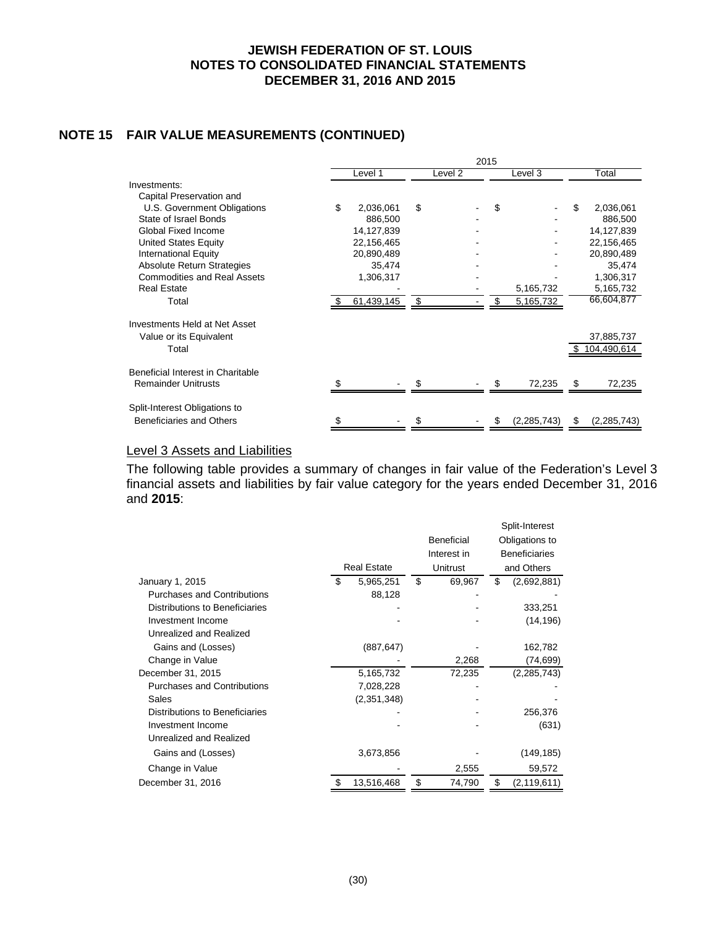## **NOTE 15 FAIR VALUE MEASUREMENTS (CONTINUED)**

|                                    |    | 2015       |    |         |    |               |    |               |  |  |  |
|------------------------------------|----|------------|----|---------|----|---------------|----|---------------|--|--|--|
|                                    |    | Level 1    |    | Level 2 |    | Level 3       |    | Total         |  |  |  |
| Investments:                       |    |            |    |         |    |               |    |               |  |  |  |
| Capital Preservation and           |    |            |    |         |    |               |    |               |  |  |  |
| U.S. Government Obligations        | \$ | 2,036,061  | \$ |         | \$ |               | S  | 2,036,061     |  |  |  |
| State of Israel Bonds              |    | 886,500    |    |         |    |               |    | 886,500       |  |  |  |
| Global Fixed Income                |    | 14,127,839 |    |         |    |               |    | 14,127,839    |  |  |  |
| <b>United States Equity</b>        |    | 22,156,465 |    |         |    |               |    | 22,156,465    |  |  |  |
| <b>International Equity</b>        |    | 20,890,489 |    |         |    |               |    | 20,890,489    |  |  |  |
| Absolute Return Strategies         |    | 35,474     |    |         |    |               |    | 35,474        |  |  |  |
| <b>Commodities and Real Assets</b> |    | 1,306,317  |    |         |    |               |    | 1,306,317     |  |  |  |
| <b>Real Estate</b>                 |    |            |    |         |    | 5,165,732     |    | 5,165,732     |  |  |  |
| Total                              |    | 61,439,145 | \$ |         |    | 5,165,732     |    | 66,604,877    |  |  |  |
| Investments Held at Net Asset      |    |            |    |         |    |               |    |               |  |  |  |
| Value or its Equivalent            |    |            |    |         |    |               |    | 37,885,737    |  |  |  |
| Total                              |    |            |    |         |    |               |    | 104,490,614   |  |  |  |
| Beneficial Interest in Charitable  |    |            |    |         |    |               |    |               |  |  |  |
| <b>Remainder Unitrusts</b>         | S  |            |    |         |    | 72,235        | \$ | 72,235        |  |  |  |
| Split-Interest Obligations to      |    |            |    |         |    |               |    |               |  |  |  |
| Beneficiaries and Others           |    |            |    |         |    | (2, 285, 743) | S  | (2, 285, 743) |  |  |  |

## Level 3 Assets and Liabilities

The following table provides a summary of changes in fair value of the Federation's Level 3 financial assets and liabilities by fair value category for the years ended December 31, 2016 and **2015**:

|                                    |    |                    |                   |                      | Split-Interest |  |
|------------------------------------|----|--------------------|-------------------|----------------------|----------------|--|
|                                    |    |                    | <b>Beneficial</b> |                      | Obligations to |  |
|                                    |    |                    | Interest in       | <b>Beneficiaries</b> |                |  |
|                                    |    | <b>Real Estate</b> | Unitrust          |                      | and Others     |  |
| January 1, 2015                    | \$ | 5,965,251          | \$<br>69,967      | \$                   | (2,692,881)    |  |
| <b>Purchases and Contributions</b> |    | 88,128             |                   |                      |                |  |
| Distributions to Beneficiaries     |    |                    |                   |                      | 333,251        |  |
| Investment Income                  |    |                    |                   |                      | (14, 196)      |  |
| Unrealized and Realized            |    |                    |                   |                      |                |  |
| Gains and (Losses)                 |    | (887,647)          |                   |                      | 162,782        |  |
| Change in Value                    |    |                    | 2,268             |                      | (74, 699)      |  |
| December 31, 2015                  |    | 5,165,732          | 72,235            |                      | (2, 285, 743)  |  |
| <b>Purchases and Contributions</b> |    | 7,028,228          |                   |                      |                |  |
| Sales                              |    | (2,351,348)        |                   |                      |                |  |
| Distributions to Beneficiaries     |    |                    |                   |                      | 256,376        |  |
| Investment Income                  |    |                    |                   |                      | (631)          |  |
| Unrealized and Realized            |    |                    |                   |                      |                |  |
| Gains and (Losses)                 |    | 3,673,856          |                   |                      | (149, 185)     |  |
| Change in Value                    |    |                    | 2,555             |                      | 59,572         |  |
| December 31, 2016                  | S  | 13,516,468         | \$<br>74,790      | \$                   | (2, 119, 611)  |  |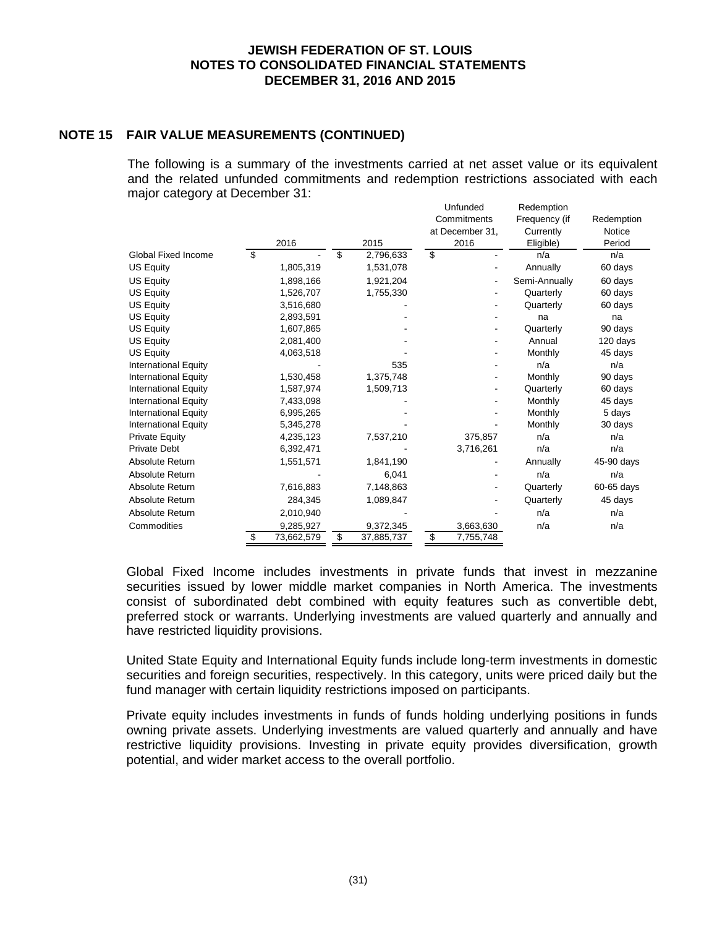### **NOTE 15 FAIR VALUE MEASUREMENTS (CONTINUED)**

The following is a summary of the investments carried at net asset value or its equivalent and the related unfunded commitments and redemption restrictions associated with each major category at December 31:

Unfunded Redemption

|                             |            |                  | Commitments<br>at December 31, | Frequency (if<br>Currently | Redemption<br>Notice |
|-----------------------------|------------|------------------|--------------------------------|----------------------------|----------------------|
|                             | 2016       | 2015             | 2016                           | Eligible)                  | Period               |
| Global Fixed Income         | \$         | \$<br>2,796,633  | \$                             | n/a                        | n/a                  |
| US Equity                   | 1,805,319  | 1,531,078        |                                | Annually                   | 60 days              |
| <b>US Equity</b>            | 1,898,166  | 1,921,204        |                                | Semi-Annually              | 60 days              |
| US Equity                   | 1,526,707  | 1,755,330        |                                | Quarterly                  | 60 days              |
| US Equity                   | 3,516,680  |                  |                                | Quarterly                  | 60 days              |
| US Equity                   | 2,893,591  |                  |                                | na                         | na                   |
| <b>US Equity</b>            | 1,607,865  |                  |                                | Quarterly                  | 90 days              |
| US Equity                   | 2,081,400  |                  |                                | Annual                     | 120 days             |
| US Equity                   | 4,063,518  |                  |                                | Monthly                    | 45 days              |
| <b>International Equity</b> |            |                  | 535                            | n/a                        | n/a                  |
| <b>International Equity</b> | 1,530,458  | 1,375,748        |                                | Monthly                    | 90 days              |
| <b>International Equity</b> | 1,587,974  | 1,509,713        |                                | Quarterly                  | 60 days              |
| <b>International Equity</b> | 7,433,098  |                  |                                | Monthly                    | 45 days              |
| <b>International Equity</b> | 6,995,265  |                  |                                | Monthly                    | 5 days               |
| <b>International Equity</b> | 5,345,278  |                  |                                | Monthly                    | 30 days              |
| <b>Private Equity</b>       | 4,235,123  | 7,537,210        | 375,857                        | n/a                        | n/a                  |
| <b>Private Debt</b>         | 6,392,471  |                  | 3,716,261                      | n/a                        | n/a                  |
| Absolute Return             | 1,551,571  | 1,841,190        |                                | Annually                   | 45-90 days           |
| Absolute Return             |            | 6,041            |                                | n/a                        | n/a                  |
| Absolute Return             | 7,616,883  | 7,148,863        |                                | Quarterly                  | 60-65 days           |
| Absolute Return             | 284,345    | 1,089,847        |                                | Quarterly                  | 45 days              |
| Absolute Return             | 2,010,940  |                  |                                | n/a                        | n/a                  |
| Commodities                 | 9,285,927  | 9,372,345        | 3,663,630                      | n/a                        | n/a                  |
|                             | 73,662,579 | 37,885,737<br>\$ | 7,755,748<br>\$                |                            |                      |

Global Fixed Income includes investments in private funds that invest in mezzanine securities issued by lower middle market companies in North America. The investments consist of subordinated debt combined with equity features such as convertible debt, preferred stock or warrants. Underlying investments are valued quarterly and annually and have restricted liquidity provisions.

United State Equity and International Equity funds include long-term investments in domestic securities and foreign securities, respectively. In this category, units were priced daily but the fund manager with certain liquidity restrictions imposed on participants.

Private equity includes investments in funds of funds holding underlying positions in funds owning private assets. Underlying investments are valued quarterly and annually and have restrictive liquidity provisions. Investing in private equity provides diversification, growth potential, and wider market access to the overall portfolio.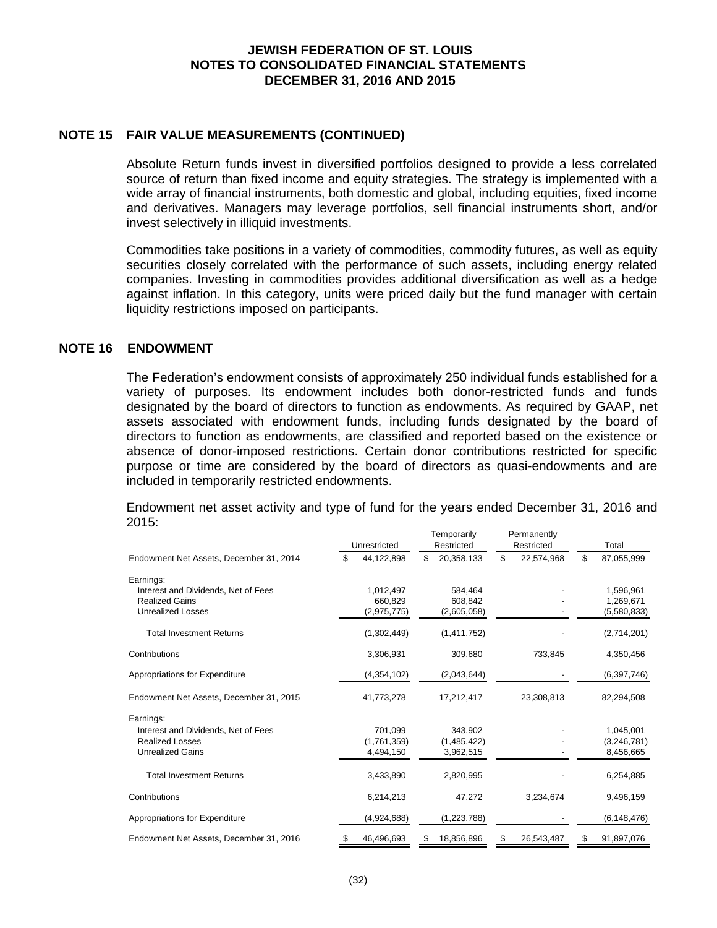#### **NOTE 15 FAIR VALUE MEASUREMENTS (CONTINUED)**

Absolute Return funds invest in diversified portfolios designed to provide a less correlated source of return than fixed income and equity strategies. The strategy is implemented with a wide array of financial instruments, both domestic and global, including equities, fixed income and derivatives. Managers may leverage portfolios, sell financial instruments short, and/or invest selectively in illiquid investments.

Commodities take positions in a variety of commodities, commodity futures, as well as equity securities closely correlated with the performance of such assets, including energy related companies. Investing in commodities provides additional diversification as well as a hedge against inflation. In this category, units were priced daily but the fund manager with certain liquidity restrictions imposed on participants.

#### **NOTE 16 ENDOWMENT**

The Federation's endowment consists of approximately 250 individual funds established for a variety of purposes. Its endowment includes both donor-restricted funds and funds designated by the board of directors to function as endowments. As required by GAAP, net assets associated with endowment funds, including funds designated by the board of directors to function as endowments, are classified and reported based on the existence or absence of donor-imposed restrictions. Certain donor contributions restricted for specific purpose or time are considered by the board of directors as quasi-endowments and are included in temporarily restricted endowments.

Endowment net asset activity and type of fund for the years ended December 31, 2016 and 2015:

|                                         | Unrestricted |             |    | Temporarily<br>Restricted |                  | Permanently<br>Restricted |    | Total         |
|-----------------------------------------|--------------|-------------|----|---------------------------|------------------|---------------------------|----|---------------|
| Endowment Net Assets, December 31, 2014 | S            | 44,122,898  | \$ | 20,358,133                | \$<br>22,574,968 |                           | \$ | 87,055,999    |
| Earnings:                               |              |             |    |                           |                  |                           |    |               |
| Interest and Dividends, Net of Fees     |              | 1,012,497   |    | 584,464                   |                  |                           |    | 1,596,961     |
| <b>Realized Gains</b>                   |              | 660,829     |    | 608,842                   |                  |                           |    | 1,269,671     |
| <b>Unrealized Losses</b>                |              | (2,975,775) |    | (2,605,058)               |                  |                           |    | (5,580,833)   |
| <b>Total Investment Returns</b>         |              | (1,302,449) |    | (1,411,752)               |                  |                           |    | (2,714,201)   |
| Contributions                           |              | 3,306,931   |    | 309,680                   |                  | 733,845                   |    | 4,350,456     |
| Appropriations for Expenditure          |              | (4,354,102) |    | (2,043,644)               |                  |                           |    | (6, 397, 746) |
| Endowment Net Assets, December 31, 2015 |              | 41,773,278  |    | 17,212,417                |                  | 23,308,813                |    | 82,294,508    |
| Earnings:                               |              |             |    |                           |                  |                           |    |               |
| Interest and Dividends, Net of Fees     |              | 701,099     |    | 343.902                   |                  |                           |    | 1,045,001     |
| <b>Realized Losses</b>                  |              | (1,761,359) |    | (1,485,422)               |                  |                           |    | (3,246,781)   |
| <b>Unrealized Gains</b>                 |              | 4,494,150   |    | 3,962,515                 |                  |                           |    | 8,456,665     |
| <b>Total Investment Returns</b>         |              | 3,433,890   |    | 2,820,995                 |                  |                           |    | 6,254,885     |
| Contributions                           |              | 6,214,213   |    | 47,272                    |                  | 3,234,674                 |    | 9,496,159     |
| Appropriations for Expenditure          |              | (4,924,688) |    | (1, 223, 788)             |                  |                           |    | (6, 148, 476) |
| Endowment Net Assets, December 31, 2016 | æ.           | 46,496,693  | S  | 18,856,896                | S                | 26,543,487                | æ. | 91,897,076    |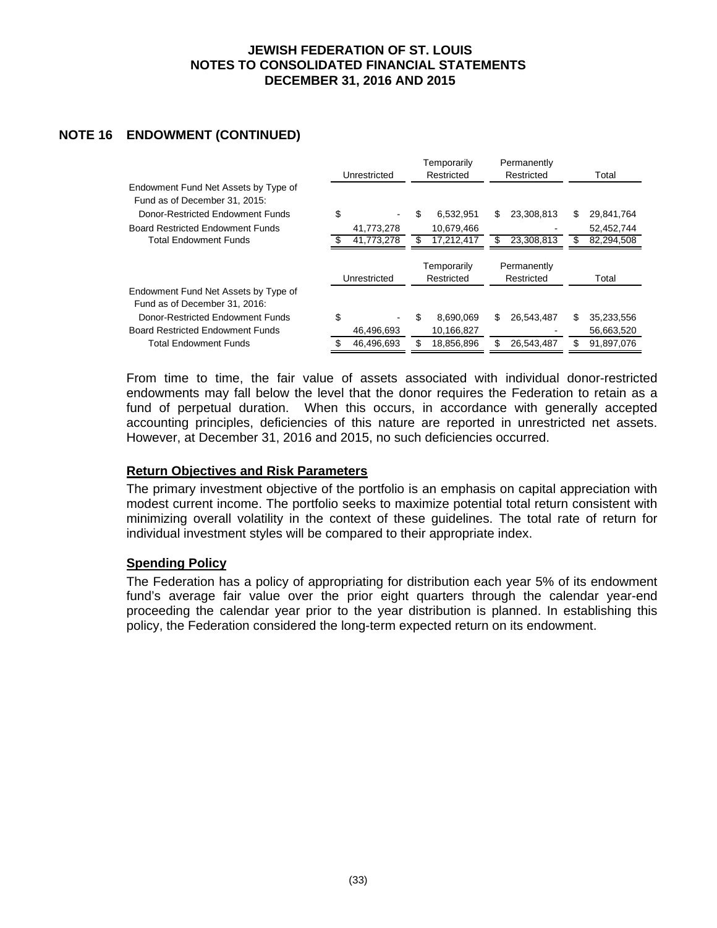## **NOTE 16 ENDOWMENT (CONTINUED)**

|                                                                       | Unrestricted |            |                           | Temporarily<br>Restricted |    | Permanently<br>Restricted |    | Total      |
|-----------------------------------------------------------------------|--------------|------------|---------------------------|---------------------------|----|---------------------------|----|------------|
| Endowment Fund Net Assets by Type of<br>Fund as of December 31, 2015: |              |            |                           |                           |    |                           |    |            |
| Donor-Restricted Endowment Funds                                      | \$           |            | \$                        | 6.532.951                 | S  | 23,308,813                | \$ | 29,841,764 |
| <b>Board Restricted Endowment Funds</b>                               |              | 41,773,278 |                           | 10,679,466                |    |                           |    | 52,452,744 |
| Total Endowment Funds                                                 |              | 41,773,278 | S                         | 17,212,417                | S  | 23,308,813                |    | 82,294,508 |
|                                                                       | Unrestricted |            | Temporarily<br>Restricted |                           |    |                           |    |            |
|                                                                       |              |            |                           |                           |    | Permanently<br>Restricted |    | Total      |
| Endowment Fund Net Assets by Type of<br>Fund as of December 31, 2016. |              |            |                           |                           |    |                           |    |            |
| Donor-Restricted Endowment Funds                                      | \$           |            | \$                        | 8,690,069                 | \$ | 26,543,487                | S  | 35,233,556 |
| <b>Board Restricted Endowment Funds</b>                               |              | 46,496,693 |                           | 10,166,827                |    |                           |    | 56,663,520 |

From time to time, the fair value of assets associated with individual donor-restricted endowments may fall below the level that the donor requires the Federation to retain as a fund of perpetual duration. When this occurs, in accordance with generally accepted accounting principles, deficiencies of this nature are reported in unrestricted net assets. However, at December 31, 2016 and 2015, no such deficiencies occurred.

#### **Return Objectives and Risk Parameters**

The primary investment objective of the portfolio is an emphasis on capital appreciation with modest current income. The portfolio seeks to maximize potential total return consistent with minimizing overall volatility in the context of these guidelines. The total rate of return for individual investment styles will be compared to their appropriate index.

### **Spending Policy**

The Federation has a policy of appropriating for distribution each year 5% of its endowment fund's average fair value over the prior eight quarters through the calendar year-end proceeding the calendar year prior to the year distribution is planned. In establishing this policy, the Federation considered the long-term expected return on its endowment.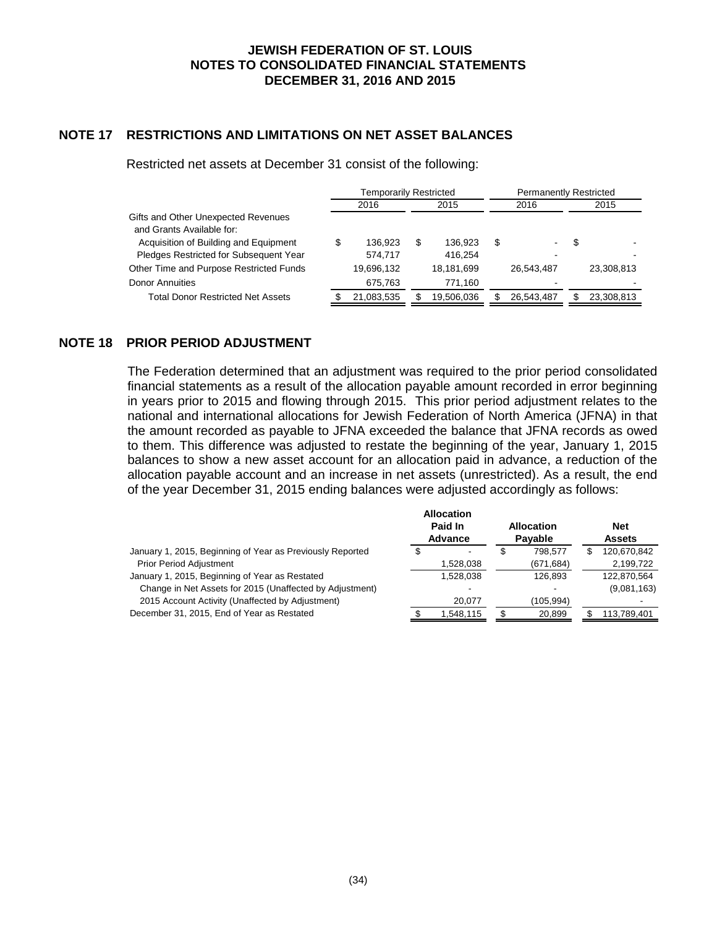## **NOTE 17 RESTRICTIONS AND LIMITATIONS ON NET ASSET BALANCES**

Restricted net assets at December 31 consist of the following:

|                                                                                                                                                     |  | <b>Temporarily Restricted</b> |  |                       |      |            | <b>Permanently Restricted</b> |            |  |
|-----------------------------------------------------------------------------------------------------------------------------------------------------|--|-------------------------------|--|-----------------------|------|------------|-------------------------------|------------|--|
| Gifts and Other Unexpected Revenues<br>and Grants Available for:<br>Acquisition of Building and Equipment<br>Pledges Restricted for Subsequent Year |  | 2015<br>2016                  |  |                       | 2016 | 2015       |                               |            |  |
|                                                                                                                                                     |  | 136.923<br>574.717            |  | 136.923<br>416.254    | S    | ۰.         | S                             |            |  |
| Other Time and Purpose Restricted Funds<br>Donor Annuities                                                                                          |  | 19,696,132<br>675.763         |  | 18.181.699<br>771.160 |      | 26.543.487 |                               | 23.308.813 |  |
| <b>Total Donor Restricted Net Assets</b>                                                                                                            |  | 21,083,535                    |  | 19.506.036            |      | 26.543.487 |                               | 23,308,813 |  |

#### **NOTE 18 PRIOR PERIOD ADJUSTMENT**

The Federation determined that an adjustment was required to the prior period consolidated financial statements as a result of the allocation payable amount recorded in error beginning in years prior to 2015 and flowing through 2015. This prior period adjustment relates to the national and international allocations for Jewish Federation of North America (JFNA) in that the amount recorded as payable to JFNA exceeded the balance that JFNA records as owed to them. This difference was adjusted to restate the beginning of the year, January 1, 2015 balances to show a new asset account for an allocation paid in advance, a reduction of the allocation payable account and an increase in net assets (unrestricted). As a result, the end of the year December 31, 2015 ending balances were adjusted accordingly as follows:

|                                                           | <b>Allocation</b><br>Paid In<br>Advance | <b>Allocation</b><br>Payable | <b>Net</b><br><b>Assets</b> |
|-----------------------------------------------------------|-----------------------------------------|------------------------------|-----------------------------|
| January 1, 2015, Beginning of Year as Previously Reported | $\overline{\phantom{0}}$                | 798.577                      | 120,670,842                 |
| <b>Prior Period Adjustment</b>                            | 1,528,038                               | (671, 684)                   | 2,199,722                   |
| January 1, 2015, Beginning of Year as Restated            | 1.528.038                               | 126.893                      | 122,870,564                 |
| Change in Net Assets for 2015 (Unaffected by Adjustment)  | $\overline{\phantom{a}}$                | -                            | (9,081,163)                 |
| 2015 Account Activity (Unaffected by Adjustment)          | 20.077                                  | (105, 994)                   |                             |
| December 31, 2015, End of Year as Restated                | 1.548.115                               | 20,899                       | 113,789,401                 |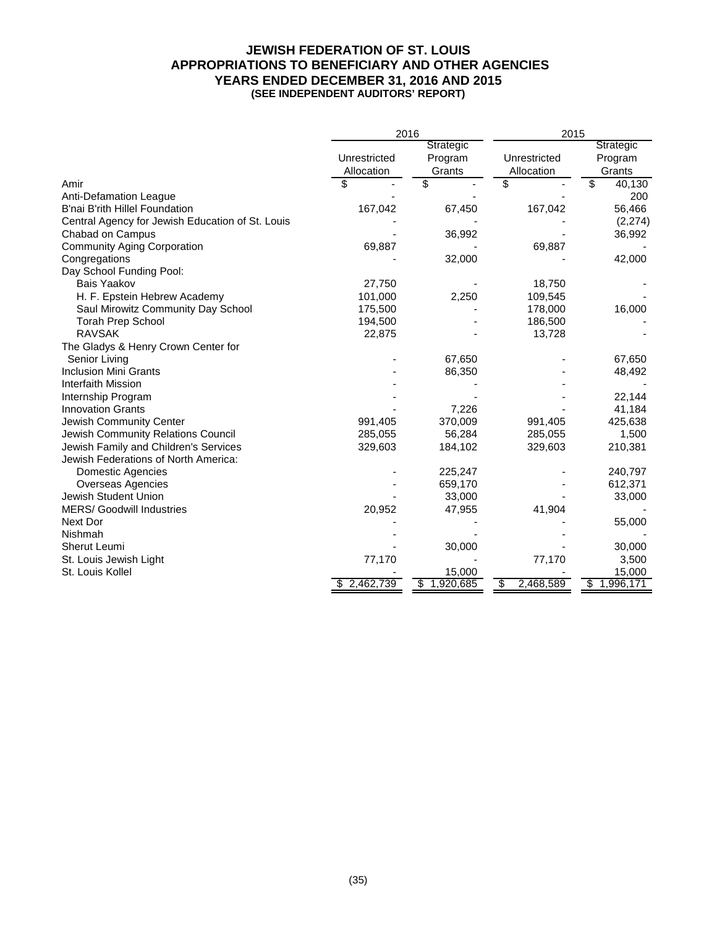### **JEWISH FEDERATION OF ST. LOUIS APPROPRIATIONS TO BENEFICIARY AND OTHER AGENCIES YEARS ENDED DECEMBER 31, 2016 AND 2015 (SEE INDEPENDENT AUDITORS' REPORT)**

|                                                  |              | 2016            | 2015            |                 |  |  |
|--------------------------------------------------|--------------|-----------------|-----------------|-----------------|--|--|
|                                                  |              | Strategic       |                 | Strategic       |  |  |
|                                                  | Unrestricted | Program         | Unrestricted    | Program         |  |  |
|                                                  | Allocation   | Grants          | Allocation      | Grants          |  |  |
| Amir                                             | \$           | \$              | \$              | \$<br>40,130    |  |  |
| Anti-Defamation League                           |              |                 |                 | 200             |  |  |
| B'nai B'rith Hillel Foundation                   | 167,042      | 67,450          | 167,042         | 56,466          |  |  |
| Central Agency for Jewish Education of St. Louis |              |                 |                 | (2, 274)        |  |  |
| Chabad on Campus                                 |              | 36,992          |                 | 36,992          |  |  |
| <b>Community Aging Corporation</b>               | 69,887       |                 | 69,887          |                 |  |  |
| Congregations                                    |              | 32,000          |                 | 42,000          |  |  |
| Day School Funding Pool:                         |              |                 |                 |                 |  |  |
| <b>Bais Yaakov</b>                               | 27,750       |                 | 18,750          |                 |  |  |
| H. F. Epstein Hebrew Academy                     | 101,000      | 2,250           | 109,545         |                 |  |  |
| Saul Mirowitz Community Day School               | 175,500      |                 | 178,000         | 16,000          |  |  |
| <b>Torah Prep School</b>                         | 194,500      |                 | 186,500         |                 |  |  |
| <b>RAVSAK</b>                                    | 22,875       |                 | 13,728          |                 |  |  |
| The Gladys & Henry Crown Center for              |              |                 |                 |                 |  |  |
| Senior Living                                    |              | 67,650          |                 | 67,650          |  |  |
| <b>Inclusion Mini Grants</b>                     |              | 86,350          |                 | 48,492          |  |  |
| <b>Interfaith Mission</b>                        |              |                 |                 |                 |  |  |
| Internship Program                               |              |                 |                 | 22,144          |  |  |
| <b>Innovation Grants</b>                         |              | 7,226           |                 | 41,184          |  |  |
| Jewish Community Center                          | 991,405      | 370,009         | 991,405         | 425,638         |  |  |
| Jewish Community Relations Council               | 285,055      | 56,284          | 285,055         | 1,500           |  |  |
| Jewish Family and Children's Services            | 329,603      | 184,102         | 329,603         | 210,381         |  |  |
| Jewish Federations of North America:             |              |                 |                 |                 |  |  |
| Domestic Agencies                                |              | 225,247         |                 | 240,797         |  |  |
| Overseas Agencies                                |              | 659,170         |                 | 612,371         |  |  |
| Jewish Student Union                             |              | 33,000          |                 | 33,000          |  |  |
| <b>MERS/ Goodwill Industries</b>                 | 20,952       | 47,955          | 41,904          |                 |  |  |
| Next Dor                                         |              |                 |                 | 55,000          |  |  |
| Nishmah                                          |              |                 |                 |                 |  |  |
| Sherut Leumi                                     |              | 30,000          |                 | 30,000          |  |  |
| St. Louis Jewish Light                           | 77,170       |                 | 77,170          | 3,500           |  |  |
| St. Louis Kollel                                 |              | 15,000          |                 | 15,000          |  |  |
|                                                  | 2,462,739    | 1,920,685<br>\$ | 2,468,589<br>\$ | 1,996,171<br>\$ |  |  |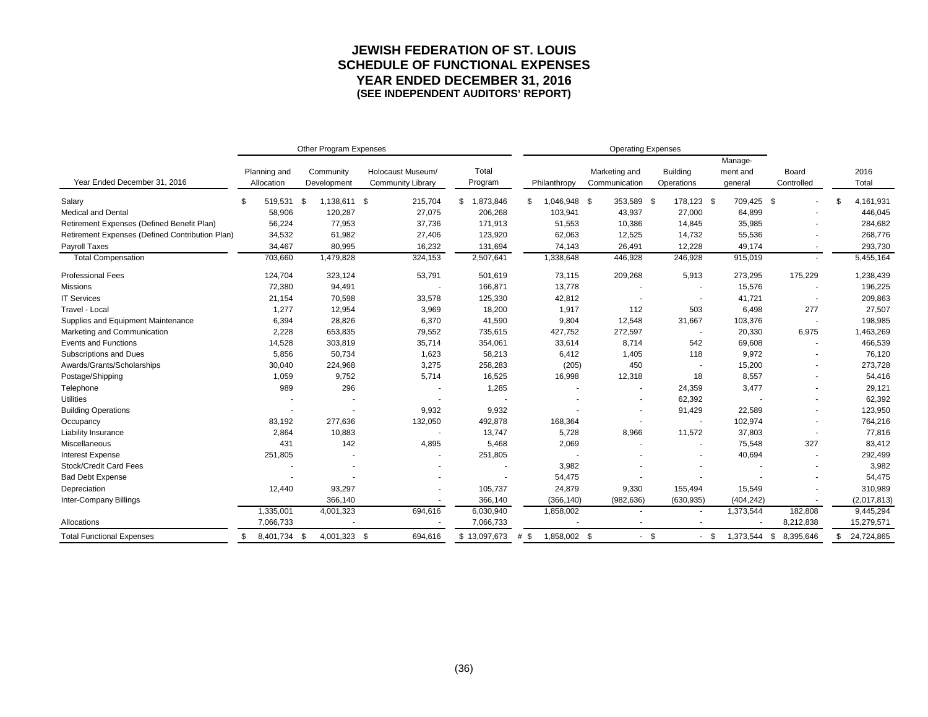#### **JEWISH FEDERATION OF ST. LOUIS SCHEDULE OF FUNCTIONAL EXPENSES YEAR ENDED DECEMBER 31, 2016 (SEE INDEPENDENT AUDITORS' REPORT)**

|                                                 |                            | Other Program Expenses   |                                               |                  |                     | <b>Operating Expenses</b>      |                               |                                |                     |                  |
|-------------------------------------------------|----------------------------|--------------------------|-----------------------------------------------|------------------|---------------------|--------------------------------|-------------------------------|--------------------------------|---------------------|------------------|
| Year Ended December 31, 2016                    | Planning and<br>Allocation | Community<br>Development | Holocaust Museum/<br><b>Community Library</b> | Total<br>Program | Philanthropy        | Marketing and<br>Communication | <b>Building</b><br>Operations | Manage-<br>ment and<br>general | Board<br>Controlled | 2016<br>Total    |
| Salary                                          | \$<br>519,531 \$           | 1,138,611 \$             | 215,704                                       | \$ 1,873,846     | 1,046,948 \$<br>\$  | 353,589 \$                     | 178,123 \$                    | 709,425 \$                     |                     | 4,161,931<br>\$. |
| Medical and Dental                              | 58,906                     | 120,287                  | 27,075                                        | 206,268          | 103,941             | 43,937                         | 27,000                        | 64,899                         |                     | 446,045          |
| Retirement Expenses (Defined Benefit Plan)      | 56,224                     | 77,953                   | 37,736                                        | 171,913          | 51,553              | 10,386                         | 14,845                        | 35,985                         |                     | 284,682          |
| Retirement Expenses (Defined Contribution Plan) | 34,532                     | 61,982                   | 27,406                                        | 123,920          | 62,063              | 12,525                         | 14,732                        | 55,536                         |                     | 268,776          |
| Payroll Taxes                                   | 34,467                     | 80,995                   | 16,232                                        | 131,694          | 74,143              | 26,491                         | 12,228                        | 49,174                         |                     | 293,730          |
| <b>Total Compensation</b>                       | 703,660                    | 1,479,828                | 324,153                                       | 2,507,641        | 1,338,648           | 446,928                        | 246,928                       | 915,019                        |                     | 5,455,164        |
| <b>Professional Fees</b>                        | 124,704                    | 323,124                  | 53,791                                        | 501,619          | 73,115              | 209,268                        | 5,913                         | 273,295                        | 175,229             | 1,238,439        |
| <b>Missions</b>                                 | 72,380                     | 94,491                   |                                               | 166,871          | 13,778              |                                | $\blacksquare$                | 15,576                         |                     | 196,225          |
| <b>IT Services</b>                              | 21,154                     | 70,598                   | 33,578                                        | 125,330          | 42,812              |                                |                               | 41,721                         |                     | 209,863          |
| Travel - Local                                  | 1,277                      | 12,954                   | 3,969                                         | 18,200           | 1,917               | 112                            | 503                           | 6,498                          | 277                 | 27,507           |
| Supplies and Equipment Maintenance              | 6,394                      | 28,826                   | 6,370                                         | 41,590           | 9,804               | 12,548                         | 31,667                        | 103,376                        |                     | 198,985          |
| Marketing and Communication                     | 2,228                      | 653,835                  | 79,552                                        | 735,615          | 427,752             | 272,597                        | $\sim$                        | 20,330                         | 6,975               | 1,463,269        |
| Events and Functions                            | 14,528                     | 303,819                  | 35,714                                        | 354,061          | 33,614              | 8,714                          | 542                           | 69,608                         |                     | 466,539          |
| Subscriptions and Dues                          | 5,856                      | 50,734                   | 1,623                                         | 58,213           | 6,412               | 1,405                          | 118                           | 9,972                          |                     | 76,120           |
| Awards/Grants/Scholarships                      | 30,040                     | 224,968                  | 3,275                                         | 258,283          | (205)               | 450                            | $\sim$                        | 15,200                         |                     | 273,728          |
| Postage/Shipping                                | 1,059                      | 9,752                    | 5,714                                         | 16,525           | 16,998              | 12,318                         | 18                            | 8,557                          |                     | 54,416           |
| Telephone                                       | 989                        | 296                      |                                               | 1,285            |                     |                                | 24,359                        | 3,477                          |                     | 29,121           |
| <b>Utilities</b>                                |                            |                          |                                               |                  |                     | ٠                              | 62,392                        | $\blacksquare$                 |                     | 62,392           |
| <b>Building Operations</b>                      |                            |                          | 9,932                                         | 9,932            |                     |                                | 91,429                        | 22,589                         |                     | 123,950          |
| Occupancy                                       | 83,192                     | 277,636                  | 132,050                                       | 492,878          | 168,364             |                                | $\sim$                        | 102,974                        |                     | 764,216          |
| Liability Insurance                             | 2,864                      | 10,883                   |                                               | 13,747           | 5,728               | 8,966                          | 11,572                        | 37,803                         |                     | 77,816           |
| Miscellaneous                                   | 431                        | 142                      | 4,895                                         | 5,468            | 2,069               |                                |                               | 75,548                         | 327                 | 83,412           |
| <b>Interest Expense</b>                         | 251,805                    |                          |                                               | 251,805          |                     |                                |                               | 40,694                         |                     | 292,499          |
| Stock/Credit Card Fees                          |                            |                          |                                               |                  | 3,982               |                                |                               |                                |                     | 3,982            |
| <b>Bad Debt Expense</b>                         |                            |                          |                                               |                  | 54,475              |                                |                               |                                |                     | 54,475           |
| Depreciation                                    | 12,440                     | 93,297                   |                                               | 105,737          | 24,879              | 9,330                          | 155,494                       | 15,549                         |                     | 310,989          |
| Inter-Company Billings                          |                            | 366,140                  |                                               | 366,140          | (366, 140)          | (982, 636)                     | (630, 935)                    | (404, 242)                     |                     | (2,017,813)      |
|                                                 | 1,335,001                  | 4,001,323                | 694,616                                       | 6,030,940        | 1,858,002           | ٠                              |                               | 1,373,544                      | 182,808             | 9,445,294        |
| Allocations                                     | 7,066,733                  |                          |                                               | 7,066,733        |                     |                                |                               |                                | 8,212,838           | 15,279,571       |
| <b>Total Functional Expenses</b>                | 8,401,734 \$<br>\$         | 4,001,323 \$             | 694,616                                       | \$13,097,673     | 1,858,002 \$<br># S |                                | $-5$<br>$-$ \$                | 1,373,544 \$                   | 8,395,646           | 24,724,865       |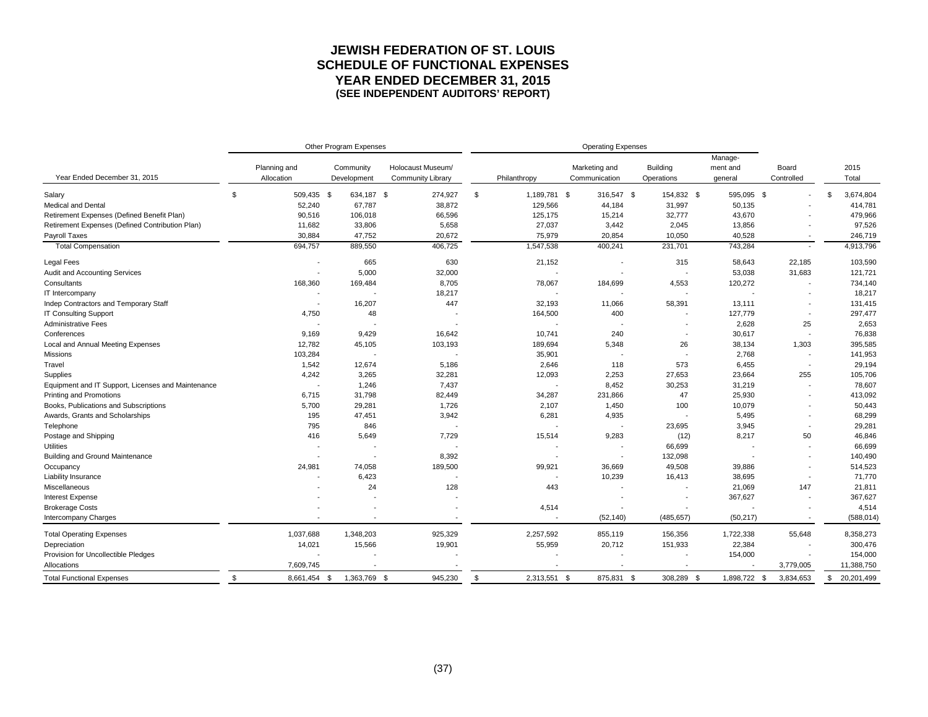#### **JEWISH FEDERATION OF ST. LOUIS SCHEDULE OF FUNCTIONAL EXPENSES YEAR ENDED DECEMBER 31, 2015 (SEE INDEPENDENT AUDITORS' REPORT)**

|                                                    | Other Program Expenses |                            |                          |                                               |    |              |                                |                               |                                |                          |                  |
|----------------------------------------------------|------------------------|----------------------------|--------------------------|-----------------------------------------------|----|--------------|--------------------------------|-------------------------------|--------------------------------|--------------------------|------------------|
| Year Ended December 31, 2015                       |                        | Planning and<br>Allocation | Community<br>Development | Holocaust Museum/<br><b>Community Library</b> |    | Philanthropy | Marketing and<br>Communication | <b>Building</b><br>Operations | Manage-<br>ment and<br>general | Board<br>Controlled      | 2015<br>Total    |
| Salary                                             | \$                     | 509.435 \$                 | 634,187 \$               | 274,927                                       | \$ | 1,189,781 \$ | 316,547 \$                     | 154,832 \$                    | 595,095 \$                     |                          | \$<br>3,674,804  |
| Medical and Dental                                 |                        | 52,240                     | 67,787                   | 38,872                                        |    | 129,566      | 44,184                         | 31,997                        | 50,135                         |                          | 414,781          |
| Retirement Expenses (Defined Benefit Plan)         |                        | 90,516                     | 106,018                  | 66,596                                        |    | 125,175      | 15,214                         | 32,777                        | 43,670                         |                          | 479,966          |
| Retirement Expenses (Defined Contribution Plan)    |                        | 11,682                     | 33,806                   | 5,658                                         |    | 27,037       | 3,442                          | 2,045                         | 13,856                         |                          | 97,526           |
| Payroll Taxes                                      |                        | 30,884                     | 47,752                   | 20,672                                        |    | 75,979       | 20,854                         | 10,050                        | 40,528                         |                          | 246,719          |
| <b>Total Compensation</b>                          |                        | 694,757                    | 889,550                  | 406,725                                       |    | 1,547,538    | 400,241                        | 231,701                       | 743,284                        |                          | 4,913,796        |
| <b>Legal Fees</b>                                  |                        |                            | 665                      | 630                                           |    | 21,152       |                                | 315                           | 58,643                         | 22,185                   | 103,590          |
| Audit and Accounting Services                      |                        |                            | 5,000                    | 32,000                                        |    |              |                                |                               | 53,038                         | 31,683                   | 121,721          |
| Consultants                                        |                        | 168,360                    | 169,484                  | 8,705                                         |    | 78,067       | 184,699                        | 4,553                         | 120,272                        |                          | 734,140          |
| IT Intercompany                                    |                        |                            |                          | 18,217                                        |    |              |                                |                               |                                |                          | 18,217           |
| Indep Contractors and Temporary Staff              |                        | $\overline{\phantom{a}}$   | 16,207                   | 447                                           |    | 32,193       | 11,066                         | 58,391                        | 13,111                         | $\overline{\phantom{a}}$ | 131,415          |
| <b>IT Consulting Support</b>                       |                        | 4,750                      | 48                       |                                               |    | 164,500      | 400                            |                               | 127,779                        |                          | 297,477          |
| <b>Administrative Fees</b>                         |                        |                            |                          |                                               |    |              |                                |                               | 2,628                          | 25                       | 2,653            |
| Conferences                                        |                        | 9.169                      | 9,429                    | 16,642                                        |    | 10,741       | 240                            |                               | 30,617                         |                          | 76,838           |
| Local and Annual Meeting Expenses                  |                        | 12,782                     | 45,105                   | 103,193                                       |    | 189,694      | 5,348                          | 26                            | 38,134                         | 1,303                    | 395,585          |
| <b>Missions</b>                                    |                        | 103,284                    |                          |                                               |    | 35,901       |                                |                               | 2,768                          |                          | 141,953          |
| Travel                                             |                        | 1.542                      | 12,674                   | 5,186                                         |    | 2,646        | 118                            | 573                           | 6.455                          | $\overline{\phantom{a}}$ | 29,194           |
| Supplies                                           |                        | 4,242                      | 3,265                    | 32,281                                        |    | 12,093       | 2,253                          | 27,653                        | 23,664                         | 255                      | 105,706          |
| Equipment and IT Support, Licenses and Maintenance |                        |                            | 1,246                    | 7,437                                         |    |              | 8,452                          | 30,253                        | 31,219                         |                          | 78,607           |
| <b>Printing and Promotions</b>                     |                        | 6,715                      | 31,798                   | 82,449                                        |    | 34,287       | 231,866                        | 47                            | 25,930                         |                          | 413,092          |
| Books, Publications and Subscriptions              |                        | 5,700                      | 29,281                   | 1,726                                         |    | 2,107        | 1,450                          | 100                           | 10,079                         |                          | 50,443           |
| Awards, Grants and Scholarships                    |                        | 195                        | 47,451                   | 3,942                                         |    | 6,281        | 4,935                          |                               | 5,495                          |                          | 68,299           |
| Telephone                                          |                        | 795                        | 846                      |                                               |    |              |                                | 23,695                        | 3,945                          |                          | 29,281           |
| Postage and Shipping                               |                        | 416                        | 5,649                    | 7,729                                         |    | 15,514       | 9,283                          | (12)                          | 8,217                          | 50                       | 46,846           |
| <b>Utilities</b>                                   |                        |                            |                          |                                               |    |              |                                | 66,699                        |                                |                          | 66,699           |
| <b>Building and Ground Maintenance</b>             |                        |                            |                          | 8.392                                         |    |              |                                | 132,098                       |                                |                          | 140,490          |
| Occupancy                                          |                        | 24,981                     | 74,058                   | 189,500                                       |    | 99,921       | 36,669                         | 49,508                        | 39,886                         |                          | 514,523          |
| Liability Insurance                                |                        |                            | 6,423                    |                                               |    |              | 10,239                         | 16,413                        | 38,695                         |                          | 71,770           |
| Miscellaneous                                      |                        |                            | 24                       | 128                                           |    | 443          |                                |                               | 21,069                         | 147                      | 21,811           |
| <b>Interest Expense</b>                            |                        |                            |                          |                                               |    |              |                                |                               | 367,627                        |                          | 367,627          |
| <b>Brokerage Costs</b>                             |                        |                            |                          |                                               |    | 4,514        |                                |                               |                                |                          | 4,514            |
| <b>Intercompany Charges</b>                        |                        |                            |                          |                                               |    |              | (52, 140)                      | (485, 657)                    | (50, 217)                      |                          | (588, 014)       |
| <b>Total Operating Expenses</b>                    |                        | 1,037,688                  | 1,348,203                | 925,329                                       |    | 2,257,592    | 855,119                        | 156,356                       | 1,722,338                      | 55,648                   | 8,358,273        |
| Depreciation                                       |                        | 14,021                     | 15,566                   | 19,901                                        |    | 55,959       | 20,712                         | 151,933                       | 22,384                         |                          | 300,476          |
| Provision for Uncollectible Pledges                |                        |                            |                          |                                               |    |              |                                |                               | 154,000                        |                          | 154,000          |
| Allocations                                        |                        | 7,609,745                  |                          |                                               |    |              |                                |                               |                                | 3,779,005                | 11,388,750       |
| <b>Total Functional Expenses</b>                   | \$                     | 8,661,454 \$               | 1,363,769 \$             | 945,230                                       | \$ | 2,313,551 \$ | 875,831 \$                     | 308,289 \$                    | 1,898,722 \$                   | 3,834,653                | \$<br>20,201,499 |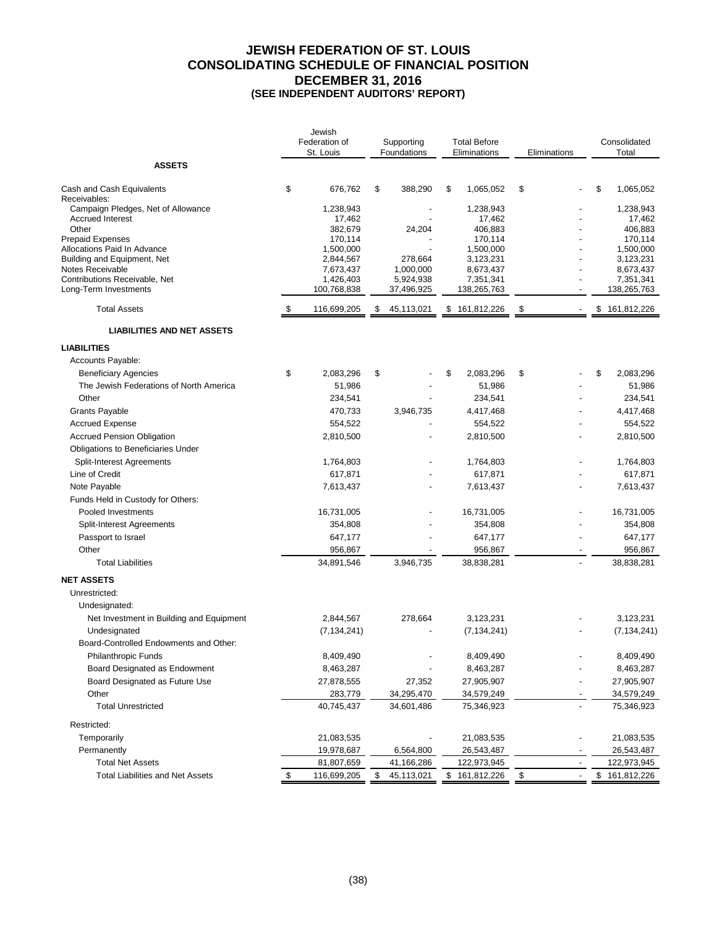### **JEWISH FEDERATION OF ST. LOUIS CONSOLIDATING SCHEDULE OF FINANCIAL POSITION DECEMBER 31, 2016 (SEE INDEPENDENT AUDITORS' REPORT)**

|                                                 | Jewish |                        |    |             |    |                        |              |  |              |                        |
|-------------------------------------------------|--------|------------------------|----|-------------|----|------------------------|--------------|--|--------------|------------------------|
|                                                 |        | Federation of          |    | Supporting  |    | <b>Total Before</b>    |              |  | Consolidated |                        |
|                                                 |        | St. Louis              |    | Foundations |    | Eliminations           | Eliminations |  |              | Total                  |
| <b>ASSETS</b>                                   |        |                        |    |             |    |                        |              |  |              |                        |
| Cash and Cash Equivalents<br>Receivables:       | \$     | 676,762                | \$ | 388,290     | \$ | 1,065,052              | \$           |  | \$           | 1,065,052              |
| Campaign Pledges, Net of Allowance              |        | 1,238,943              |    |             |    | 1.238.943              |              |  |              | 1,238,943              |
| <b>Accrued Interest</b>                         |        | 17,462                 |    |             |    | 17,462                 |              |  |              | 17,462                 |
| Other                                           |        | 382,679                |    | 24,204      |    | 406,883                |              |  |              | 406,883                |
| <b>Prepaid Expenses</b>                         |        | 170,114                |    |             |    | 170,114                |              |  |              | 170,114                |
| Allocations Paid In Advance                     |        | 1,500,000              |    | 278.664     |    | 1,500,000              |              |  |              | 1,500,000              |
| Building and Equipment, Net<br>Notes Receivable |        | 2,844,567<br>7,673,437 |    | 1,000,000   |    | 3,123,231<br>8,673,437 |              |  |              | 3,123,231<br>8,673,437 |
| Contributions Receivable, Net                   |        | 1,426,403              |    | 5,924,938   |    | 7,351,341              |              |  |              | 7,351,341              |
| Long-Term Investments                           |        | 100,768,838            |    | 37,496,925  |    | 138,265,763            |              |  |              | 138,265,763            |
| <b>Total Assets</b>                             | \$     | 116,699,205            | S. | 45,113,021  |    | \$161,812,226          | \$           |  | \$           | 161,812,226            |
| <b>LIABILITIES AND NET ASSETS</b>               |        |                        |    |             |    |                        |              |  |              |                        |
| <b>LIABILITIES</b>                              |        |                        |    |             |    |                        |              |  |              |                        |
| Accounts Payable:                               |        |                        |    |             |    |                        |              |  |              |                        |
| <b>Beneficiary Agencies</b>                     | \$     | 2,083,296              | \$ |             | \$ | 2,083,296              | \$           |  | \$           | 2,083,296              |
| The Jewish Federations of North America         |        | 51,986                 |    |             |    | 51,986                 |              |  |              | 51,986                 |
| Other                                           |        | 234,541                |    |             |    | 234,541                |              |  |              | 234,541                |
| <b>Grants Payable</b>                           |        | 470,733                |    | 3,946,735   |    | 4,417,468              |              |  |              | 4,417,468              |
| <b>Accrued Expense</b>                          |        | 554,522                |    |             |    | 554,522                |              |  |              | 554,522                |
| <b>Accrued Pension Obligation</b>               |        | 2,810,500              |    |             |    | 2,810,500              |              |  |              | 2,810,500              |
| Obligations to Beneficiaries Under              |        |                        |    |             |    |                        |              |  |              |                        |
| Split-Interest Agreements                       |        | 1,764,803              |    |             |    | 1,764,803              |              |  |              | 1,764,803              |
| Line of Credit                                  |        | 617,871                |    |             |    | 617,871                |              |  |              | 617,871                |
| Note Payable                                    |        | 7,613,437              |    |             |    | 7,613,437              |              |  |              | 7,613,437              |
| Funds Held in Custody for Others:               |        |                        |    |             |    |                        |              |  |              |                        |
| Pooled Investments                              |        | 16,731,005             |    |             |    | 16,731,005             |              |  |              | 16,731,005             |
| Split-Interest Agreements                       |        | 354,808                |    |             |    | 354,808                |              |  |              | 354,808                |
| Passport to Israel                              |        | 647,177                |    |             |    | 647,177                |              |  |              | 647,177                |
| Other                                           |        | 956,867                |    |             |    | 956,867                |              |  |              | 956,867                |
| <b>Total Liabilities</b>                        |        | 34,891,546             |    | 3,946,735   |    | 38,838,281             |              |  |              | 38,838,281             |
| <b>NET ASSETS</b>                               |        |                        |    |             |    |                        |              |  |              |                        |
| Unrestricted:                                   |        |                        |    |             |    |                        |              |  |              |                        |
| Undesignated:                                   |        |                        |    |             |    |                        |              |  |              |                        |
| Net Investment in Building and Equipment        |        | 2,844,567              |    | 278,664     |    | 3,123,231              |              |  |              | 3,123,231              |
| Undesignated                                    |        | (7, 134, 241)          |    |             |    | (7, 134, 241)          |              |  |              | (7, 134, 241)          |
| Board-Controlled Endowments and Other:          |        |                        |    |             |    |                        |              |  |              |                        |
| Philanthropic Funds                             |        | 8,409,490              |    |             |    | 8,409,490              |              |  |              | 8,409,490              |
| Board Designated as Endowment                   |        | 8,463,287              |    |             |    | 8,463,287              |              |  |              | 8,463,287              |
| Board Designated as Future Use                  |        | 27,878,555             |    | 27,352      |    | 27,905,907             |              |  |              | 27,905,907             |
| Other                                           |        | 283,779                |    | 34,295,470  |    | 34,579,249             |              |  |              | 34,579,249             |
| <b>Total Unrestricted</b>                       |        | 40,745,437             |    | 34,601,486  |    | 75,346,923             |              |  |              | 75,346,923             |
| Restricted:                                     |        |                        |    |             |    |                        |              |  |              |                        |
| Temporarily                                     |        | 21,083,535             |    |             |    | 21,083,535             |              |  |              | 21,083,535             |
| Permanently                                     |        | 19,978,687             |    | 6,564,800   |    | 26,543,487             |              |  |              | 26,543,487             |
| <b>Total Net Assets</b>                         |        | 81,807,659             |    | 41,166,286  |    | 122,973,945            |              |  |              | 122,973,945            |
| <b>Total Liabilities and Net Assets</b>         | \$     | 116,699,205            | \$ | 45,113,021  |    | \$161,812,226          | \$           |  |              | \$161,812,226          |